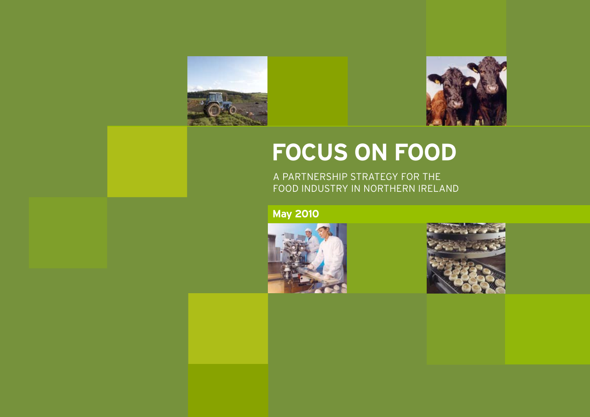

# **FOCUS ON FOOD**

A PARTNERSHIP STRATEGY FOR THE FOOD INDUSTRY IN NORTHERN IRELAND

**May 2010**



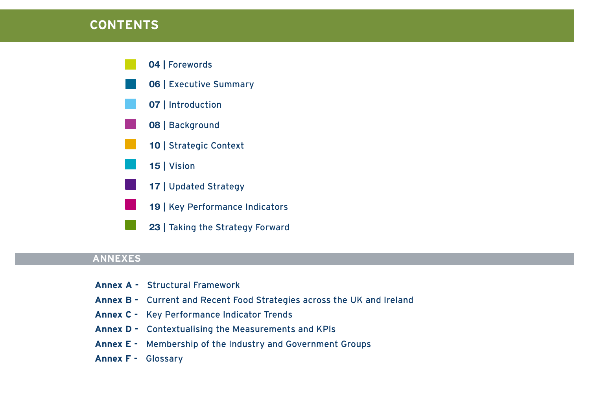### **CONTENTS**



### **ANNEXES**

- **Annex A** Structural Framework
- **Annex B** Current and Recent Food Strategies across the UK and Ireland
- **Annex C** Key Performance Indicator Trends
- **Annex D** Contextualising the Measurements and KPls
- **Annex E** Membership of the Industry and Government Groups
- **Annex F** Glossary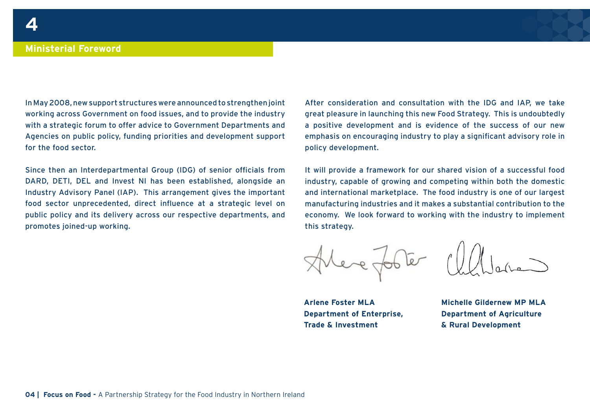In May 2008, new support structures were announced to strengthen joint working across Government on food issues, and to provide the industry with a strategic forum to offer advice to Government Departments and Agencies on public policy, funding priorities and development support for the food sector.

Since then an Interdepartmental Group (IDG) of senior officials from DARD, DETI, DEL and Invest NI has been established, alongside an Industry Advisory Panel (IAP). This arrangement gives the important food sector unprecedented, direct influence at a strategic level on public policy and its delivery across our respective departments, and promotes joined-up working.

After consideration and consultation with the IDG and IAP, we take great pleasure in launching this new Food Strategy. This is undoubtedly a positive development and is evidence of the success of our new emphasis on encouraging industry to play a significant advisory role in policy development.

It will provide a framework for our shared vision of a successful food industry, capable of growing and competing within both the domestic and international marketplace. The food industry is one of our largest manufacturing industries and it makes a substantial contribution to the economy. We look forward to working with the industry to implement this strategy.



**Arlene Foster MLA Department of Enterprise, Trade & Investment**

**Michelle Gildernew MP MLA Department of Agriculture & Rural Development**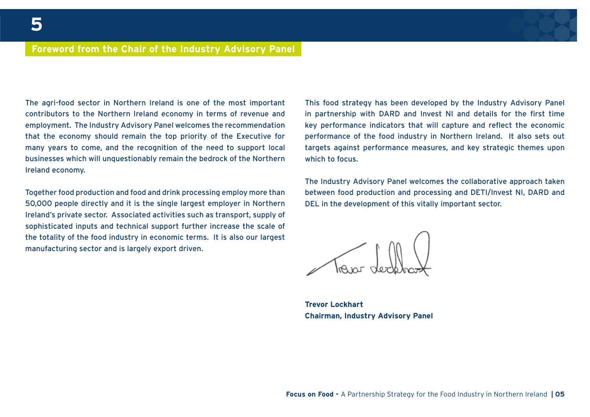#### **Foreword from the Chair of the Industry Advisory Panel**

The agri-food sector in Northern Ireland is one of the most important contributors to the Northern Ireland economy in terms of revenue and employment. The Industry Advisory Panel welcomes the recommendation that the economy should remain the top priority of the Executive for many years to come, and the recognition of the need to support local businesses which will unquestionably remain the bedrock of the Northern Ireland economy.

Together food production and food and drink processing employ more than 50,000 people directly and it is the single largest employer in Northern Ireland's private sector. Associated activities such as transport, supply of sophisticated inputs and technical support further increase the scale of the totality of the food industry in economic terms. It is also our largest manufacturing sector and is largely export driven.

This food strategy has been developed by the Industry Advisory Panel in partnership with DARD and Invest NI and details for the first time key performance indicators that will capture and reflect the economic performance of the food industry in Northern Ireland. It also sets out targets against performance measures, and key strategic themes upon which to focus.

The Industry Advisory Panel welcomes the collaborative approach taken between food production and processing and DETI/Invest NI, DARD and DEL in the development of this vitally important sector.

**Trevor Lockhart Chairman, Industry Advisory Panel**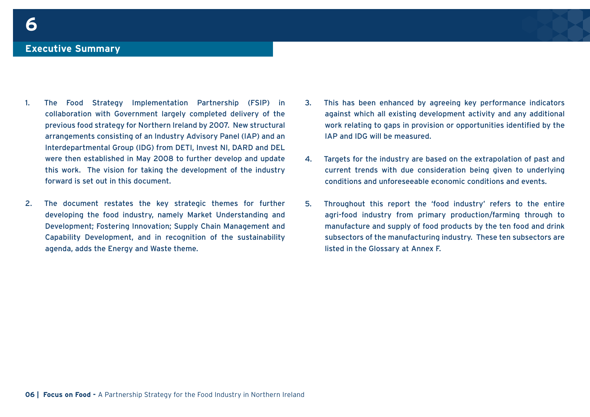- 1. The Food Strategy Implementation Partnership (FSIP) in collaboration with Government largely completed delivery of the previous food strategy for Northern Ireland by 2007. New structural arrangements consisting of an Industry Advisory Panel (IAP) and an Interdepartmental Group (IDG) from DETI, Invest NI, DARD and DEL were then established in May 2008 to further develop and update this work. The vision for taking the development of the industry forward is set out in this document.
- 2. The document restates the key strategic themes for further developing the food industry, namely Market Understanding and Development; Fostering Innovation; Supply Chain Management and Capability Development, and in recognition of the sustainability agenda, adds the Energy and Waste theme.
- 3. This has been enhanced by agreeing key performance indicators against which all existing development activity and any additional work relating to gaps in provision or opportunities identified by the IAP and IDG will be measured.
- 4. Targets for the industry are based on the extrapolation of past and current trends with due consideration being given to underlying conditions and unforeseeable economic conditions and events.
- 5. Throughout this report the 'food industry' refers to the entire agri-food industry from primary production/farming through to manufacture and supply of food products by the ten food and drink subsectors of the manufacturing industry. These ten subsectors are listed in the Glossary at Annex F.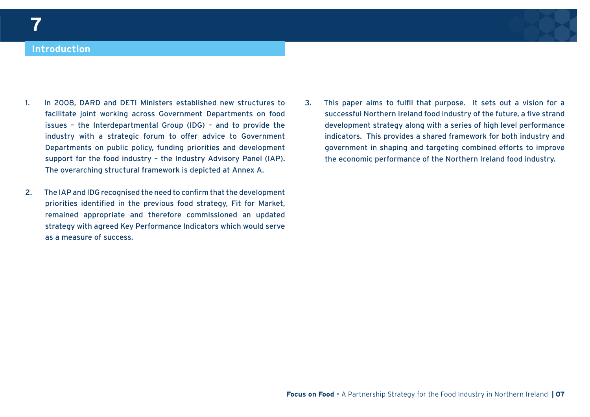#### **Introduction**

- 1. In 2008, DARD and DETI Ministers established new structures to facilitate joint working across Government Departments on food issues – the Interdepartmental Group (IDG) – and to provide the industry with a strategic forum to offer advice to Government Departments on public policy, funding priorities and development support for the food industry – the Industry Advisory Panel (IAP). The overarching structural framework is depicted at Annex A.
- 2. The IAP and IDG recognised the need to confirm that the development priorities identified in the previous food strategy, Fit for Market, remained appropriate and therefore commissioned an updated strategy with agreed Key Performance Indicators which would serve as a measure of success.
- 3. This paper aims to fulfil that purpose. It sets out a vision for a successful Northern Ireland food industry of the future, a five strand development strategy along with a series of high level performance indicators. This provides a shared framework for both industry and government in shaping and targeting combined efforts to improve the economic performance of the Northern Ireland food industry.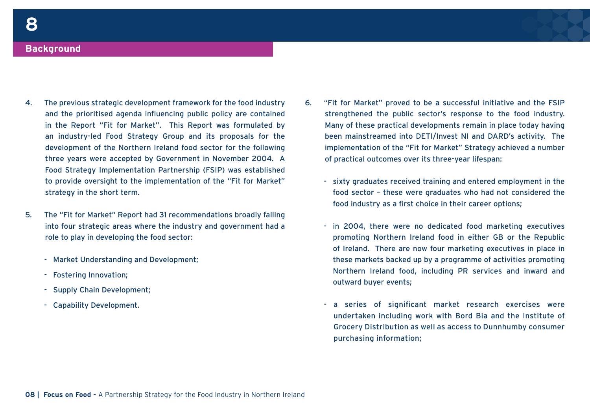#### **Background**

- 4. The previous strategic development framework for the food industry and the prioritised agenda influencing public policy are contained in the Report "Fit for Market". This Report was formulated by an industry-led Food Strategy Group and its proposals for the development of the Northern Ireland food sector for the following three years were accepted by Government in November 2004. A Food Strategy Implementation Partnership (FSIP) was established to provide oversight to the implementation of the "Fit for Market" strategy in the short term.
- 5. The "Fit for Market" Report had 31 recommendations broadly falling into four strategic areas where the industry and government had a role to play in developing the food sector:
	- Market Understanding and Development;
	- Fostering Innovation;
	- Supply Chain Development;
	- Capability Development.
- 6. "Fit for Market" proved to be a successful initiative and the FSIP strengthened the public sector's response to the food industry. Many of these practical developments remain in place today having been mainstreamed into DETI/Invest NI and DARD's activity. The implementation of the "Fit for Market" Strategy achieved a number of practical outcomes over its three-year lifespan:
	- sixty graduates received training and entered employment in the food sector – these were graduates who had not considered the food industry as a first choice in their career options;
	- in 2004, there were no dedicated food marketing executives promoting Northern Ireland food in either GB or the Republic of Ireland. There are now four marketing executives in place in these markets backed up by a programme of activities promoting Northern Ireland food, including PR services and inward and outward buyer events;
	- a series of significant market research exercises were undertaken including work with Bord Bia and the Institute of Grocery Distribution as well as access to Dunnhumby consumer purchasing information;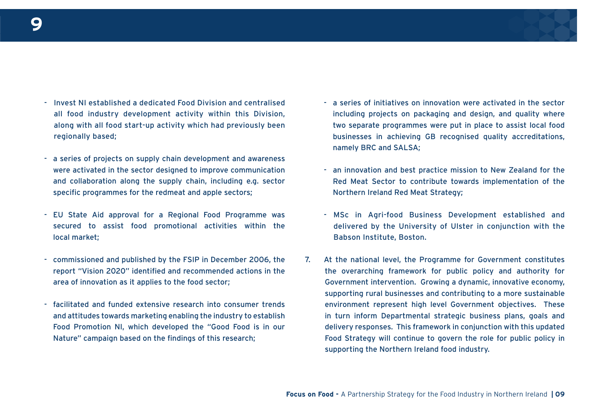

- Invest NI established a dedicated Food Division and centralised all food industry development activity within this Division, along with all food start-up activity which had previously been regionally based;
- a series of projects on supply chain development and awareness were activated in the sector designed to improve communication and collaboration along the supply chain, including e.g. sector specific programmes for the redmeat and apple sectors;
- EU State Aid approval for a Regional Food Programme was secured to assist food promotional activities within the local market;
- commissioned and published by the FSIP in December 2006, the report "Vision 2020" identified and recommended actions in the area of innovation as it applies to the food sector;
- facilitated and funded extensive research into consumer trends and attitudes towards marketing enabling the industry to establish Food Promotion NI, which developed the "Good Food is in our Nature" campaign based on the findings of this research;
- a series of initiatives on innovation were activated in the sector including projects on packaging and design, and quality where two separate programmes were put in place to assist local food businesses in achieving GB recognised quality accreditations, namely BRC and SALSA;
- an innovation and best practice mission to New Zealand for the Red Meat Sector to contribute towards implementation of the Northern Ireland Red Meat Strategy;
- MSc in Agri-food Business Development established and delivered by the University of Ulster in conjunction with the Babson Institute, Boston.
- 7. At the national level, the Programme for Government constitutes the overarching framework for public policy and authority for Government intervention. Growing a dynamic, innovative economy, supporting rural businesses and contributing to a more sustainable environment represent high level Government objectives. These in turn inform Departmental strategic business plans, goals and delivery responses. This framework in conjunction with this updated Food Strategy will continue to govern the role for public policy in supporting the Northern Ireland food industry.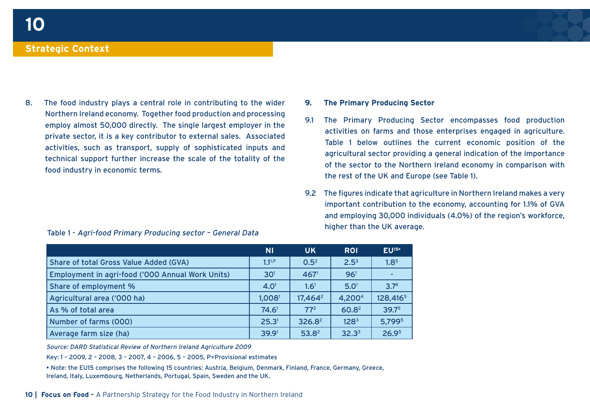8. The food industry plays a central role in contributing to the wider Northern Ireland economy. Together food production and processing employ almost 50,000 directly. The single largest employer in the private sector, it is a key contributor to external sales. Associated activities, such as transport, supply of sophisticated inputs and technical support further increase the scale of the totality of the food industry in economic terms.

#### Table 1 - Agri-food Primary Producing sector – General Data

#### **9. The Primary Producing Sector**

- 9.1 The Primary Producing Sector encompasses food production activities on farms and those enterprises engaged in agriculture. Table 1 below outlines the current economic position of the agricultural sector providing a general indication of the importance of the sector to the Northern Ireland economy in comparison with the rest of the UK and Europe (see Table 1).
- 9.2 The figures indicate that agriculture in Northern Ireland makes a very important contribution to the economy, accounting for 1.1% of GVA and employing 30,000 individuals (4.0%) of the region's workforce, higher than the UK average.

|                                                  | <b>NI</b>          | <b>UK</b>           | <b>ROI</b>        | $EU^{15}$            |
|--------------------------------------------------|--------------------|---------------------|-------------------|----------------------|
| Share of total Gross Value Added (GVA)           | $1.1^{1,P}$        | 0.5 <sup>2</sup>    | 2.5 <sup>3</sup>  | 1.8 <sup>5</sup>     |
| Employment in agri-food ('000 Annual Work Units) | 30 <sup>1</sup>    | 467 <sup>1</sup>    | 96 <sup>1</sup>   |                      |
| Share of employment %                            | 4.0 <sup>1</sup>   | $1.6^{1}$           | 5.0 <sup>1</sup>  | 3.7 <sup>4</sup>     |
| Agricultural area ('000 ha)                      | 1,008 <sup>1</sup> | 17,464 <sup>2</sup> | 4,2004            | 128,416 <sup>5</sup> |
| As % of total area                               | 74.6 <sup>1</sup>  | 77 <sup>2</sup>     | 60.8 <sup>2</sup> | 39.75                |
| Number of farms (000)                            | 25.3 <sup>1</sup>  | $326.8^2$           | 128 <sup>3</sup>  | 5,799 <sup>5</sup>   |
| Average farm size (ha)                           | 39.9 <sup>1</sup>  | 53.8 <sup>2</sup>   | 32.3 <sup>3</sup> | 26.9 <sup>5</sup>    |

Source: DARD Statistical Review of Northern Ireland Agriculture 2009

Key: 1 – 2009, 2 – 2008, 3 – 2007, 4 – 2006, 5 – 2005, P=Provisional estimates

• Note: the EU15 comprises the following 15 countries: Austria, Belgium, Denmark, Finland, France, Germany, Greece, Ireland, Italy, Luxembourg, Netherlands, Portugal, Spain, Sweden and the UK.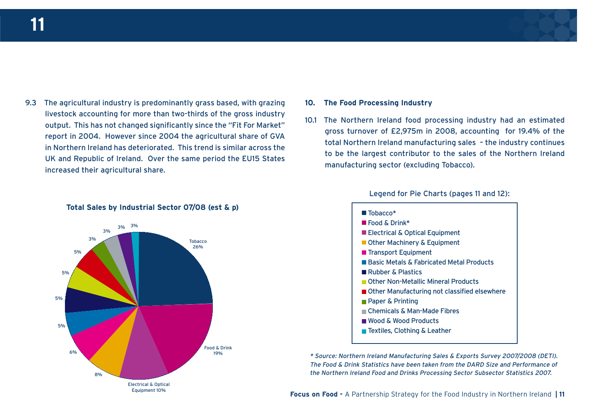

9.3 The agricultural industry is predominantly grass based, with grazing livestock accounting for more than two-thirds of the gross industry output. This has not changed significantly since the "Fit For Market" report in 2004. However since 2004 the agricultural share of GVA in Northern Ireland has deteriorated. This trend is similar across the UK and Republic of Ireland. Over the same period the EU15 States increased their agricultural share.





#### **10. The Food Processing Industry**

10.1 The Northern Ireland food processing industry had an estimated gross turnover of £2,975m in 2008, accounting for 19.4% of the total Northern Ireland manufacturing sales – the industry continues to be the largest contributor to the sales of the Northern Ireland manufacturing sector (excluding Tobacco).

Legend for Pie Charts (pages 11 and 12):

■ Tobacco<sup>\*</sup> Food & Drink\* Electrical & Optical Equipment ■ Other Machinery & Equipment **Transport Equipment** Basic Metals & Fabricated Metal Products ■ Rubber & Plastics ■ Other Non-Metallic Mineral Products ■ Other Manufacturing not classified elsewhere **Paper & Printing** Chemicals & Man-Made Fibres Wood & Wood Products ■ Textiles, Clothing & Leather

\* Source: Northern Ireland Manufacturing Sales & Exports Survey 2007/2008 (DETI). The Food & Drink Statistics have been taken from the DARD Size and Performance of the Northern Ireland Food and Drinks Processing Sector Subsector Statistics 2007.

**Focus on Food -** A Partnership Strategy for the Food Industry in Northern Ireland **| 11**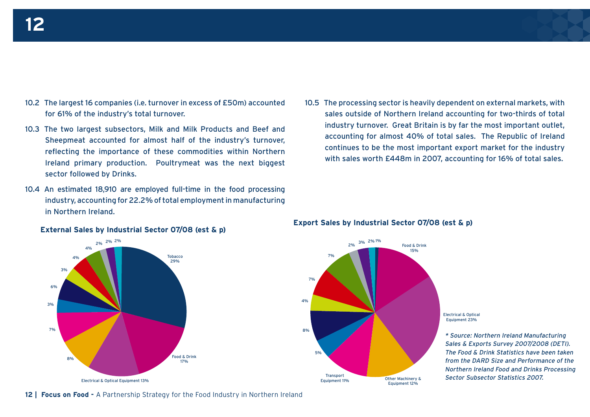- 10.2 The largest 16 companies (i.e. turnover in excess of £50m) accounted for 61% of the industry's total turnover.
- 10.3 The two largest subsectors, Milk and Milk Products and Beef and Sheepmeat accounted for almost half of the industry's turnover, reflecting the importance of these commodities within Northern Ireland primary production. Poultrymeat was the next biggest sector followed by Drinks.
- 10.4 An estimated 18,910 are employed full-time in the food processing industry, accounting for 22.2% of total employment in manufacturing in Northern Ireland.



10.5 The processing sector is heavily dependent on external markets, with sales outside of Northern Ireland accounting for two-thirds of total industry turnover. Great Britain is by far the most important outlet, accounting for almost 40% of total sales. The Republic of Ireland continues to be the most important export market for the industry with sales worth £448m in 2007, accounting for 16% of total sales.



## **External Sales by Industrial Sector 07/08 (est & p) Export Sales by Industrial Sector 07/08 (est & p)**

\* Source: Northern Ireland Manufacturing Sales & Exports Survey 2007/2008 (DETI). The Food & Drink Statistics have been taken from the DARD Size and Performance of the Northern Ireland Food and Drinks Processing Sector Subsector Statistics 2007.

**12 | Focus on Food -** A Partnership Strategy for the Food Industry in Northern Ireland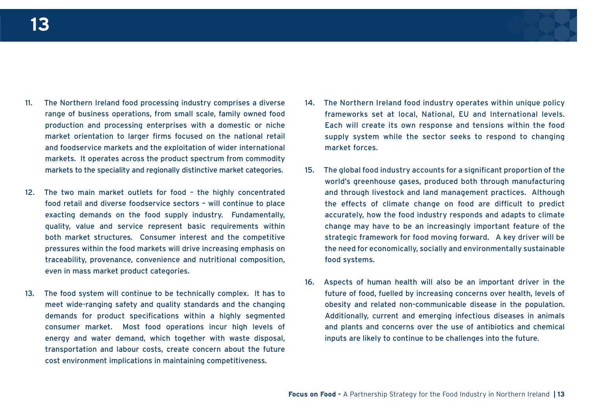

- 11. The Northern Ireland food processing industry comprises a diverse range of business operations, from small scale, family owned food production and processing enterprises with a domestic or niche market orientation to larger firms focused on the national retail and foodservice markets and the exploitation of wider international markets. It operates across the product spectrum from commodity markets to the speciality and regionally distinctive market categories.
- 12. The two main market outlets for food the highly concentrated food retail and diverse foodservice sectors – will continue to place exacting demands on the food supply industry. Fundamentally, quality, value and service represent basic requirements within both market structures. Consumer interest and the competitive pressures within the food markets will drive increasing emphasis on traceability, provenance, convenience and nutritional composition, even in mass market product categories.
- 13. The food system will continue to be technically complex. It has to meet wide-ranging safety and quality standards and the changing demands for product specifications within a highly segmented consumer market. Most food operations incur high levels of energy and water demand, which together with waste disposal, transportation and labour costs, create concern about the future cost environment implications in maintaining competitiveness.
- 14. The Northern Ireland food industry operates within unique policy frameworks set at local, National, EU and International levels. Each will create its own response and tensions within the food supply system while the sector seeks to respond to changing market forces.
- 15. The global food industry accounts for a significant proportion of the world's greenhouse gases, produced both through manufacturing and through livestock and land management practices. Although the effects of climate change on food are difficult to predict accurately, how the food industry responds and adapts to climate change may have to be an increasingly important feature of the strategic framework for food moving forward. A key driver will be the need for economically, socially and environmentally sustainable food systems.
- 16. Aspects of human health will also be an important driver in the future of food, fuelled by increasing concerns over health, levels of obesity and related non-communicable disease in the population. Additionally, current and emerging infectious diseases in animals and plants and concerns over the use of antibiotics and chemical inputs are likely to continue to be challenges into the future.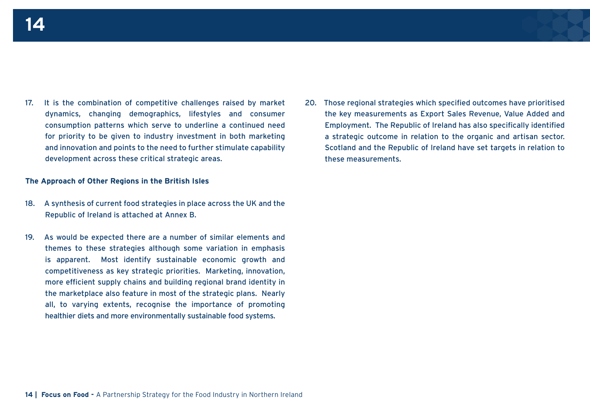17. It is the combination of competitive challenges raised by market dynamics, changing demographics, lifestyles and consumer consumption patterns which serve to underline a continued need for priority to be given to industry investment in both marketing and innovation and points to the need to further stimulate capability development across these critical strategic areas.

#### **The Approach of Other Regions in the British Isles**

- 18. A synthesis of current food strategies in place across the UK and the Republic of Ireland is attached at Annex B.
- 19. As would be expected there are a number of similar elements and themes to these strategies although some variation in emphasis is apparent. Most identify sustainable economic growth and competitiveness as key strategic priorities. Marketing, innovation, more efficient supply chains and building regional brand identity in the marketplace also feature in most of the strategic plans. Nearly all, to varying extents, recognise the importance of promoting healthier diets and more environmentally sustainable food systems.

20. Those regional strategies which specified outcomes have prioritised the key measurements as Export Sales Revenue, Value Added and Employment. The Republic of Ireland has also specifically identified a strategic outcome in relation to the organic and artisan sector. Scotland and the Republic of Ireland have set targets in relation to these measurements.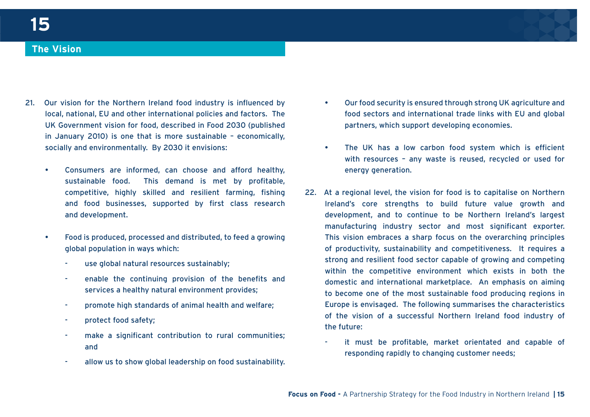#### **The Vision**

- 21. Our vision for the Northern Ireland food industry is influenced by local, national, EU and other international policies and factors. The UK Government vision for food, described in Food 2030 (published in January 2010) is one that is more sustainable – economically, socially and environmentally. By 2030 it envisions:
	- Consumers are informed, can choose and afford healthy, sustainable food. This demand is met by profitable, competitive, highly skilled and resilient farming, fishing and food businesses, supported by first class research and development.
	- Food is produced, processed and distributed, to feed a growing global population in ways which:
		- use global natural resources sustainably:
		- enable the continuing provision of the benefits and services a healthy natural environment provides;
		- promote high standards of animal health and welfare;
		- protect food safety;
		- make a significant contribution to rural communities; and
		- allow us to show global leadership on food sustainability.
- Our food security is ensured through strong UK agriculture and food sectors and international trade links with EU and global partners, which support developing economies.
- The UK has a low carbon food system which is efficient with resources – any waste is reused, recycled or used for energy generation.
- 22. At a regional level, the vision for food is to capitalise on Northern Ireland's core strengths to build future value growth and development, and to continue to be Northern Ireland's largest manufacturing industry sector and most significant exporter. This vision embraces a sharp focus on the overarching principles of productivity, sustainability and competitiveness. It requires a strong and resilient food sector capable of growing and competing within the competitive environment which exists in both the domestic and international marketplace. An emphasis on aiming to become one of the most sustainable food producing regions in Europe is envisaged. The following summarises the characteristics of the vision of a successful Northern Ireland food industry of the future:
	- it must be profitable, market orientated and capable of responding rapidly to changing customer needs;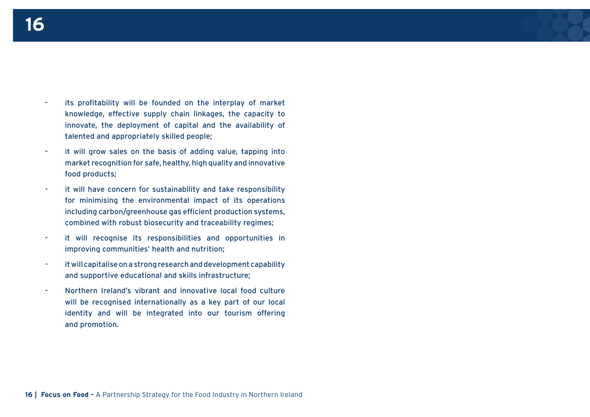- its profitability will be founded on the interplay of market knowledge, effective supply chain linkages, the capacity to innovate, the deployment of capital and the availability of talented and appropriately skilled people;
- it will grow sales on the basis of adding value, tapping into market recognition for safe, healthy, high quality and innovative food products;
- it will have concern for sustainability and take responsibility for minimising the environmental impact of its operations including carbon/greenhouse gas efficient production systems, combined with robust biosecurity and traceability regimes;
- it will recognise its responsibilities and opportunities in improving communities' health and nutrition;
- it will capitalise on a strong research and development capability and supportive educational and skills infrastructure;
- Northern Ireland's vibrant and innovative local food culture will be recognised internationally as a key part of our local identity and will be integrated into our tourism offering and promotion.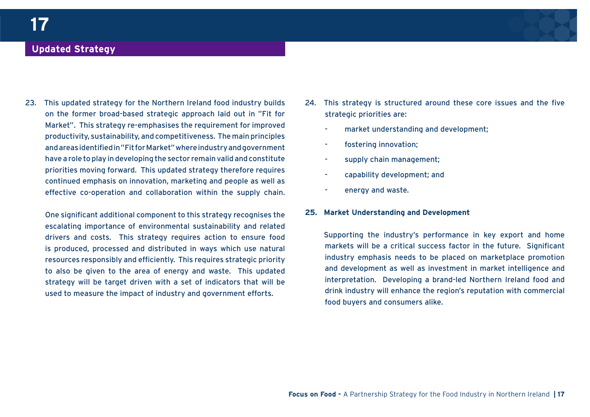### **Updated Strategy**

23. This updated strategy for the Northern Ireland food industry builds on the former broad-based strategic approach laid out in "Fit for Market". This strategy re-emphasises the requirement for improved productivity, sustainability, and competitiveness. The main principles and areas identified in "Fit for Market" where industry and government have a role to play in developing the sector remain valid and constitute priorities moving forward. This updated strategy therefore requires continued emphasis on innovation, marketing and people as well as effective co-operation and collaboration within the supply chain.

One significant additional component to this strategy recognises the escalating importance of environmental sustainability and related drivers and costs. This strategy requires action to ensure food is produced, processed and distributed in ways which use natural resources responsibly and efficiently. This requires strategic priority to also be given to the area of energy and waste. This updated strategy will be target driven with a set of indicators that will be used to measure the impact of industry and government efforts.

- 24. This strategy is structured around these core issues and the five strategic priorities are:
	- market understanding and development:
	- fostering innovation;
	- supply chain management;
	- capability development; and
	- energy and waste.

#### **25. Market Understanding and Development**

Supporting the industry's performance in key export and home markets will be a critical success factor in the future. Significant industry emphasis needs to be placed on marketplace promotion and development as well as investment in market intelligence and interpretation. Developing a brand-led Northern Ireland food and drink industry will enhance the region's reputation with commercial food buyers and consumers alike.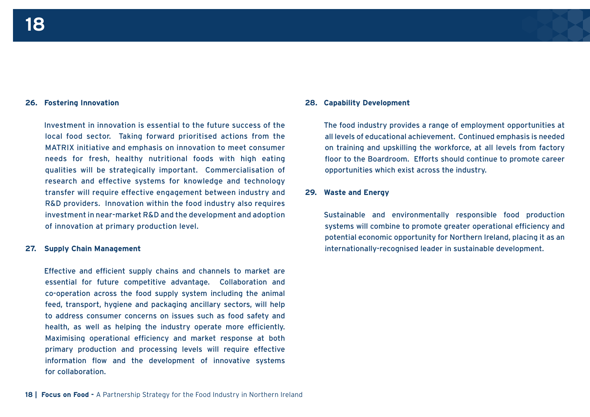#### **26. Fostering Innovation**

Investment in innovation is essential to the future success of the local food sector. Taking forward prioritised actions from the MATRIX initiative and emphasis on innovation to meet consumer needs for fresh, healthy nutritional foods with high eating qualities will be strategically important. Commercialisation of research and effective systems for knowledge and technology transfer will require effective engagement between industry and R&D providers. Innovation within the food industry also requires investment in near-market R&D and the development and adoption of innovation at primary production level.

#### **27. Supply Chain Management**

Effective and efficient supply chains and channels to market are essential for future competitive advantage. Collaboration and co-operation across the food supply system including the animal feed, transport, hygiene and packaging ancillary sectors, will help to address consumer concerns on issues such as food safety and health, as well as helping the industry operate more efficiently. Maximising operational efficiency and market response at both primary production and processing levels will require effective information flow and the development of innovative systems for collaboration.

#### **28. Capability Development**

The food industry provides a range of employment opportunities at all levels of educational achievement. Continued emphasis is needed on training and upskilling the workforce, at all levels from factory floor to the Boardroom. Efforts should continue to promote career opportunities which exist across the industry.

#### **29. Waste and Energy**

Sustainable and environmentally responsible food production systems will combine to promote greater operational efficiency and potential economic opportunity for Northern Ireland, placing it as an internationally-recognised leader in sustainable development.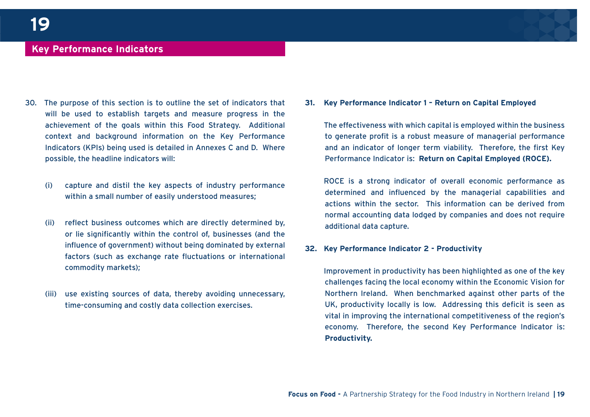#### **Key Performance Indicators**

- 30. The purpose of this section is to outline the set of indicators that will be used to establish targets and measure progress in the achievement of the goals within this Food Strategy. Additional context and background information on the Key Performance Indicators (KPIs) being used is detailed in Annexes C and D. Where possible, the headline indicators will:
	- (i) capture and distil the key aspects of industry performance within a small number of easily understood measures;
	- (ii) reflect business outcomes which are directly determined by, or lie significantly within the control of, businesses (and the influence of government) without being dominated by external factors (such as exchange rate fluctuations or international commodity markets);
	- (iii) use existing sources of data, thereby avoiding unnecessary, time-consuming and costly data collection exercises.

**31. Key Performance Indicator 1 – Return on Capital Employed**

The effectiveness with which capital is employed within the business to generate profit is a robust measure of managerial performance and an indicator of longer term viability. Therefore, the first Key Performance Indicator is: **Return on Capital Employed (ROCE).**

ROCE is a strong indicator of overall economic performance as determined and influenced by the managerial capabilities and actions within the sector. This information can be derived from normal accounting data lodged by companies and does not require additional data capture.

#### **32. Key Performance Indicator 2 - Productivity**

Improvement in productivity has been highlighted as one of the key challenges facing the local economy within the Economic Vision for Northern Ireland. When benchmarked against other parts of the UK, productivity locally is low. Addressing this deficit is seen as vital in improving the international competitiveness of the region's economy. Therefore, the second Key Performance Indicator is: **Productivity.**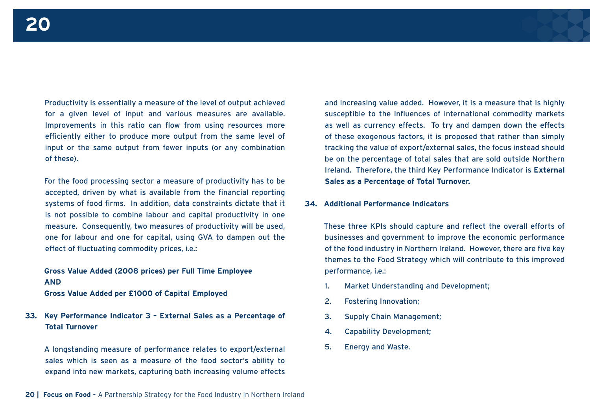Productivity is essentially a measure of the level of output achieved for a given level of input and various measures are available. Improvements in this ratio can flow from using resources more efficiently either to produce more output from the same level of input or the same output from fewer inputs (or any combination of these).

For the food processing sector a measure of productivity has to be accepted, driven by what is available from the financial reporting systems of food firms. In addition, data constraints dictate that it is not possible to combine labour and capital productivity in one measure. Consequently, two measures of productivity will be used, one for labour and one for capital, using GVA to dampen out the effect of fluctuating commodity prices, i.e.:

**Gross Value Added (2008 prices) per Full Time Employee AND**

**Gross Value Added per £1000 of Capital Employed**

**33. Key Performance Indicator 3 – External Sales as a Percentage of Total Turnover**

A longstanding measure of performance relates to export/external sales which is seen as a measure of the food sector's ability to expand into new markets, capturing both increasing volume effects and increasing value added. However, it is a measure that is highly susceptible to the influences of international commodity markets as well as currency effects. To try and dampen down the effects of these exogenous factors, it is proposed that rather than simply tracking the value of export/external sales, the focus instead should be on the percentage of total sales that are sold outside Northern Ireland. Therefore, the third Key Performance Indicator is **External Sales as a Percentage of Total Turnover.**

#### **34. Additional Performance Indicators**

These three KPIs should capture and reflect the overall efforts of businesses and government to improve the economic performance of the food industry in Northern Ireland. However, there are five key themes to the Food Strategy which will contribute to this improved performance, i.e.:

- 1. Market Understanding and Development;
- 2. Fostering Innovation;
- 3. Supply Chain Management;
- 4. Capability Development;
- 5. Energy and Waste.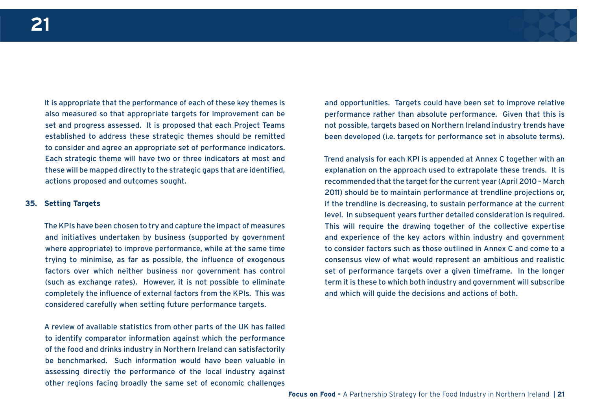

It is appropriate that the performance of each of these key themes is also measured so that appropriate targets for improvement can be set and progress assessed. It is proposed that each Project Teams established to address these strategic themes should be remitted to consider and agree an appropriate set of performance indicators. Each strategic theme will have two or three indicators at most and these will be mapped directly to the strategic gaps that are identified, actions proposed and outcomes sought.

#### **35. Setting Targets**

The KPIs have been chosen to try and capture the impact of measures and initiatives undertaken by business (supported by government where appropriate) to improve performance, while at the same time trying to minimise, as far as possible, the influence of exogenous factors over which neither business nor government has control (such as exchange rates). However, it is not possible to eliminate completely the influence of external factors from the KPIs. This was considered carefully when setting future performance targets.

A review of available statistics from other parts of the UK has failed to identify comparator information against which the performance of the food and drinks industry in Northern Ireland can satisfactorily be benchmarked. Such information would have been valuable in assessing directly the performance of the local industry against other regions facing broadly the same set of economic challenges

and opportunities. Targets could have been set to improve relative performance rather than absolute performance. Given that this is not possible, targets based on Northern Ireland industry trends have been developed (i.e. targets for performance set in absolute terms).

Trend analysis for each KPI is appended at Annex C together with an explanation on the approach used to extrapolate these trends. It is recommended that the target for the current year (April 2010 – March 2011) should be to maintain performance at trendline projections or, if the trendline is decreasing, to sustain performance at the current level. In subsequent years further detailed consideration is required. This will require the drawing together of the collective expertise and experience of the key actors within industry and government to consider factors such as those outlined in Annex C and come to a consensus view of what would represent an ambitious and realistic set of performance targets over a given timeframe. In the longer term it is these to which both industry and government will subscribe and which will guide the decisions and actions of both.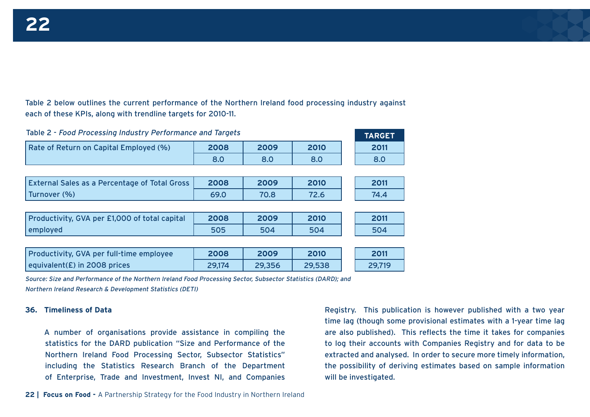Table 2 below outlines the current performance of the Northern Ireland food processing industry against each of these KPIs, along with trendline targets for 2010-11.

| Table 2 - Food Processing Industry Performance and Targets | <b>TARGET</b> |        |        |        |
|------------------------------------------------------------|---------------|--------|--------|--------|
| Rate of Return on Capital Employed (%)                     | 2008          | 2009   | 2010   | 2011   |
|                                                            | 8.0           | 8.0    | 8.0    | 8.0    |
|                                                            |               |        |        |        |
| <b>External Sales as a Percentage of Total Gross</b>       | 2008          | 2009   | 2010   | 2011   |
| Turnover (%)                                               | 69.0          | 70.8   | 72.6   | 74.4   |
|                                                            |               |        |        |        |
| Productivity, GVA per £1,000 of total capital              | 2008          | 2009   | 2010   | 2011   |
| employed                                                   | 505           | 504    | 504    | 504    |
|                                                            |               |        |        |        |
| Productivity, GVA per full-time employee                   | 2008          | 2009   | 2010   | 2011   |
| equivalent( $E$ ) in 2008 prices                           | 29,174        | 29,356 | 29,538 | 29,719 |

Source: Size and Performance of the Northern Ireland Food Processing Sector, Subsector Statistics (DARD); and Northern Ireland Research & Development Statistics (DETI)

#### **36. Timeliness of Data**

A number of organisations provide assistance in compiling the statistics for the DARD publication "Size and Performance of the Northern Ireland Food Processing Sector, Subsector Statistics" including the Statistics Research Branch of the Department of Enterprise, Trade and Investment, Invest NI, and Companies

Registry. This publication is however published with a two year time lag (though some provisional estimates with a 1-year time lag are also published). This reflects the time it takes for companies to log their accounts with Companies Registry and for data to be extracted and analysed. In order to secure more timely information, the possibility of deriving estimates based on sample information will be investigated.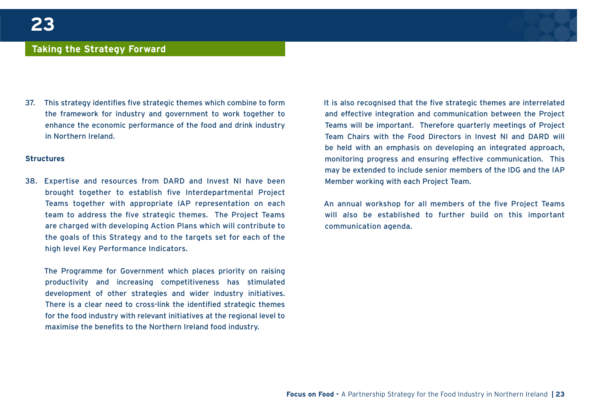#### **Taking the Strategy Forward**

37. This strategy identifies five strategic themes which combine to form the framework for industry and government to work together to enhance the economic performance of the food and drink industry in Northern Ireland.

#### **Structures**

38. Expertise and resources from DARD and Invest NI have been brought together to establish five Interdepartmental Project Teams together with appropriate IAP representation on each team to address the five strategic themes. The Project Teams are charged with developing Action Plans which will contribute to the goals of this Strategy and to the targets set for each of the high level Key Performance Indicators.

The Programme for Government which places priority on raising productivity and increasing competitiveness has stimulated development of other strategies and wider industry initiatives. There is a clear need to cross-link the identified strategic themes for the food industry with relevant initiatives at the regional level to maximise the benefits to the Northern Ireland food industry.

It is also recognised that the five strategic themes are interrelated and effective integration and communication between the Project Teams will be important. Therefore quarterly meetings of Project Team Chairs with the Food Directors in Invest NI and DARD will be held with an emphasis on developing an integrated approach, monitoring progress and ensuring effective communication. This may be extended to include senior members of the IDG and the IAP Member working with each Project Team.

An annual workshop for all members of the five Project Teams will also be established to further build on this important communication agenda.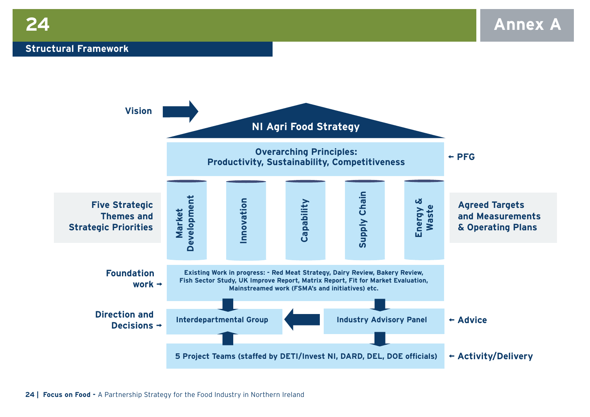#### **Structural Framework**

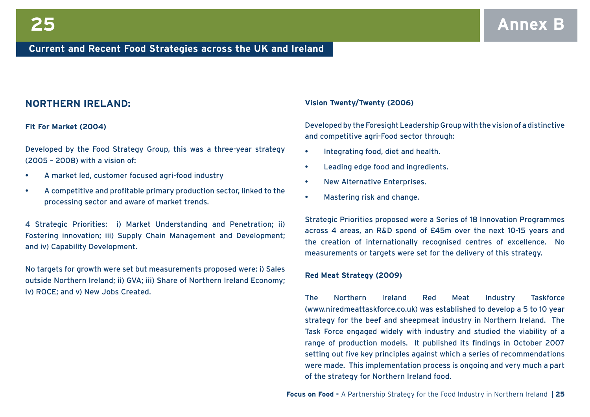#### **NORTHERN IRELAND:**

#### **Fit For Market (2004)**

Developed by the Food Strategy Group, this was a three-year strategy (2005 – 2008) with a vision of:

- A market led, customer focused agri-food industry
- A competitive and profitable primary production sector, linked to the processing sector and aware of market trends.

4 Strategic Priorities: i) Market Understanding and Penetration; ii) Fostering innovation; iii) Supply Chain Management and Development; and iv) Capability Development.

No targets for growth were set but measurements proposed were: i) Sales outside Northern Ireland; ii) GVA; iii) Share of Northern Ireland Economy; iv) ROCE; and v) New Jobs Created.

#### **Vision Twenty/Twenty (2006)**

Developed by the Foresight Leadership Group with the vision of a distinctive and competitive agri-Food sector through:

- Integrating food, diet and health.
- Leading edge food and ingredients.
- New Alternative Enterprises.
- Mastering risk and change.

Strategic Priorities proposed were a Series of 18 Innovation Programmes across 4 areas, an R&D spend of £45m over the next 10-15 years and the creation of internationally recognised centres of excellence. No measurements or targets were set for the delivery of this strategy.

#### **Red Meat Strategy (2009)**

The Northern Ireland Red Meat Industry Taskforce (www.niredmeattaskforce.co.uk) was established to develop a 5 to 10 year strategy for the beef and sheepmeat industry in Northern Ireland. The Task Force engaged widely with industry and studied the viability of a range of production models. It published its findings in October 2007 setting out five key principles against which a series of recommendations were made. This implementation process is ongoing and very much a part of the strategy for Northern Ireland food.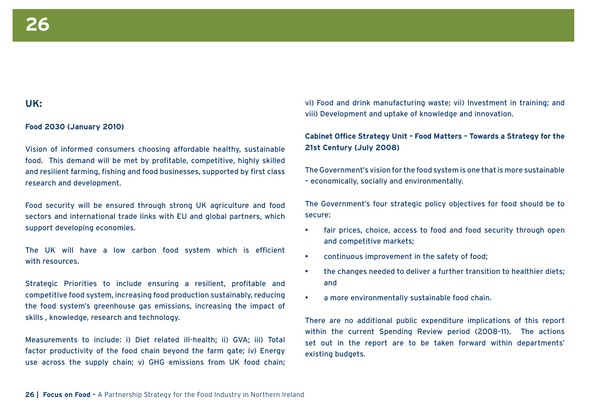#### **UK:**

#### **Food 2030 (January 2010)**

Vision of informed consumers choosing affordable healthy, sustainable food. This demand will be met by profitable, competitive, highly skilled and resilient farming, fishing and food businesses, supported by first class research and development.

Food security will be ensured through strong UK agriculture and food sectors and international trade links with EU and global partners, which support developing economies.

The UK will have a low carbon food system which is efficient with resources.

Strategic Priorities to include ensuring a resilient, profitable and competitive food system, increasing food production sustainably, reducing the food system's greenhouse gas emissions, increasing the impact of skills , knowledge, research and technology.

Measurements to include: i) Diet related ill-health; ii) GVA; iii) Total factor productivity of the food chain beyond the farm gate; iv) Energy use across the supply chain; v) GHG emissions from UK food chain; vi) Food and drink manufacturing waste; vii) Investment in training; and viii) Development and uptake of knowledge and innovation.

**Cabinet Office Strategy Unit – Food Matters – Towards a Strategy for the 21st Century (July 2008)**

The Government's vision for the food system is one that is more sustainable – economically, socially and environmentally.

The Government's four strategic policy objectives for food should be to secure:

- fair prices, choice, access to food and food security through open and competitive markets;
- continuous improvement in the safety of food;
- the changes needed to deliver a further transition to healthier diets; and
- a more environmentally sustainable food chain.

There are no additional public expenditure implications of this report within the current Spending Review period (2008–11). The actions set out in the report are to be taken forward within departments' existing budgets.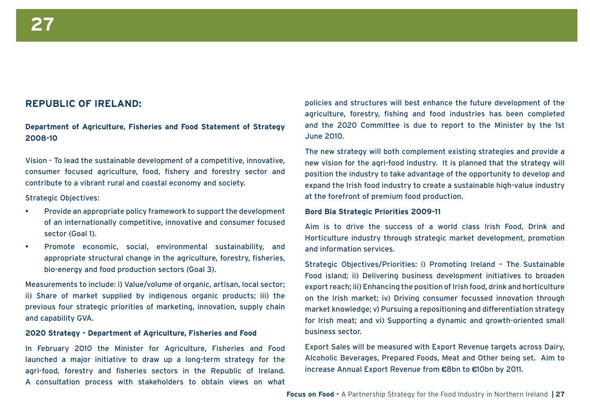#### **REPUBLIC OF IRELAND:**

**Department of Agriculture, Fisheries and Food Statement of Strategy 2008-10**

Vision - To lead the sustainable development of a competitive, innovative, consumer focused agriculture, food, fishery and forestry sector and contribute to a vibrant rural and coastal economy and society.

#### Strategic Objectives:

- Provide an appropriate policy framework to support the development of an internationally competitive, innovative and consumer focused sector (Goal 1).
- Promote economic, social, environmental sustainability, and appropriate structural change in the agriculture, forestry, fisheries, bio-energy and food production sectors (Goal 3).

Measurements to include: i) Value/volume of organic, artisan, local sector; ii) Share of market supplied by indigenous organic products; iii) the previous four strategic priorities of marketing, innovation, supply chain and capability GVA.

#### **2020 Strategy - Department of Agriculture, Fisheries and Food**

In February 2010 the Minister for Agriculture, Fisheries and Food launched a major initiative to draw up a long-term strategy for the agri-food, forestry and fisheries sectors in the Republic of Ireland. A consultation process with stakeholders to obtain views on what

policies and structures will best enhance the future development of the agriculture, forestry, fishing and food industries has been completed and the 2020 Committee is due to report to the Minister by the 1st June 2010.

The new strategy will both complement existing strategies and provide a new vision for the agri-food industry. It is planned that the strategy will position the industry to take advantage of the opportunity to develop and expand the Irish food industry to create a sustainable high-value industry at the forefront of premium food production.

#### **Bord Bia Strategic Priorities 2009-11**

Aim is to drive the success of a world class Irish Food, Drink and Horticulture industry through strategic market development, promotion and information services.

Strategic Objectives/Priorities: i) Promoting Ireland – The Sustainable Food island; ii) Delivering business development initiatives to broaden export reach; iii) Enhancing the position of Irish food, drink and horticulture on the Irish market; iv) Driving consumer focussed innovation through market knowledge; v) Pursuing a repositioning and differentiation strategy for Irish meat; and vi) Supporting a dynamic and growth-oriented small business sector.

Export Sales will be measured with Export Revenue targets across Dairy, Alcoholic Beverages, Prepared Foods, Meat and Other being set. Aim to increase Annual Export Revenue from **€**8bn to **€**10bn by 2011.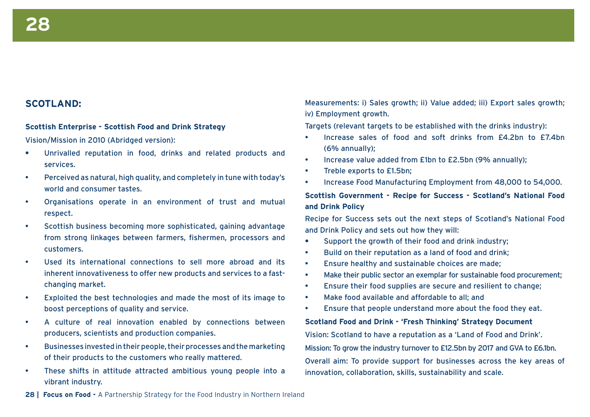#### **SCOTLAND:**

#### **Scottish Enterprise - Scottish Food and Drink Strategy**

Vision/Mission in 2010 (Abridged version):

- **•** Unrivalled reputation in food, drinks and related products and services.
- Perceived as natural, high quality, and completely in tune with today's world and consumer tastes.
- Organisations operate in an environment of trust and mutual respect.
- Scottish business becoming more sophisticated, gaining advantage from strong linkages between farmers, fishermen, processors and customers.
- Used its international connections to sell more abroad and its inherent innovativeness to offer new products and services to a fastchanging market.
- Exploited the best technologies and made the most of its image to boost perceptions of quality and service.
- A culture of real innovation enabled by connections between producers, scientists and production companies.
- Businesses invested in their people, their processes and the marketing of their products to the customers who really mattered.
- These shifts in attitude attracted ambitious young people into a vibrant industry.

Measurements: i) Sales growth; ii) Value added; iii) Export sales growth; iv) Employment growth.

Targets (relevant targets to be established with the drinks industry):

- Increase sales of food and soft drinks from £4.2bn to £7.4bn (6% annually);
- Increase value added from £1bn to £2.5bn (9% annually);
- Treble exports to £1.5bn;
- Increase Food Manufacturing Employment from 48,000 to 54,000.

#### **Scottish Government - Recipe for Success - Scotland's National Food and Drink Policy**

Recipe for Success sets out the next steps of Scotland's National Food and Drink Policy and sets out how they will:

- **•** Support the growth of their food and drink industry;
- Build on their reputation as a land of food and drink;
- Ensure healthy and sustainable choices are made;
- Make their public sector an exemplar for sustainable food procurement;
- Ensure their food supplies are secure and resilient to change;
- Make food available and affordable to all; and
- Ensure that people understand more about the food they eat.

#### **Scotland Food and Drink - 'Fresh Thinking' Strategy Document**

Vision: Scotland to have a reputation as a 'Land of Food and Drink'. Mission: To grow the industry turnover to £12.5bn by 2017 and GVA to £6.1bn. Overall aim: To provide support for businesses across the key areas of innovation, collaboration, skills, sustainability and scale.

28 | Focus on Food - A Partnership Strategy for the Food Industry in Northern Ireland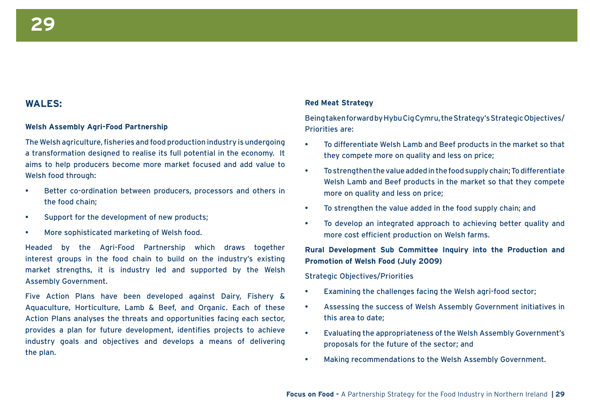#### **WALES:**

#### **Welsh Assembly Agri-Food Partnership**

The Welsh agriculture, fisheries and food production industry is undergoing a transformation designed to realise its full potential in the economy. It aims to help producers become more market focused and add value to Welsh food through:

- Better co-ordination between producers, processors and others in the food chain;
- Support for the development of new products;
- More sophisticated marketing of Welsh food.

Headed by the Agri-Food Partnership which draws together interest groups in the food chain to build on the industry's existing market strengths, it is industry led and supported by the Welsh Assembly Government.

Five Action Plans have been developed against Dairy, Fishery & Aquaculture, Horticulture, Lamb & Beef, and Organic. Each of these Action Plans analyses the threats and opportunities facing each sector, provides a plan for future development, identifies projects to achieve industry goals and objectives and develops a means of delivering the plan.

#### **Red Meat Strategy**

Being taken forward by Hybu Cig Cymru, the Strategy's Strategic Objectives/ Priorities are:

- To differentiate Welsh Lamb and Beef products in the market so that they compete more on quality and less on price;
- To strengthen the value added in the food supply chain; To differentiate Welsh Lamb and Beef products in the market so that they compete more on quality and less on price;
- To strengthen the value added in the food supply chain; and
- To develop an integrated approach to achieving better quality and more cost efficient production on Welsh farms.

#### **Rural Development Sub Committee Inquiry into the Production and Promotion of Welsh Food (July 2009)**

Strategic Objectives/Priorities

- Examining the challenges facing the Welsh agri-food sector;
- Assessing the success of Welsh Assembly Government initiatives in this area to date;
- Evaluating the appropriateness of the Welsh Assembly Government's proposals for the future of the sector; and
- Making recommendations to the Welsh Assembly Government.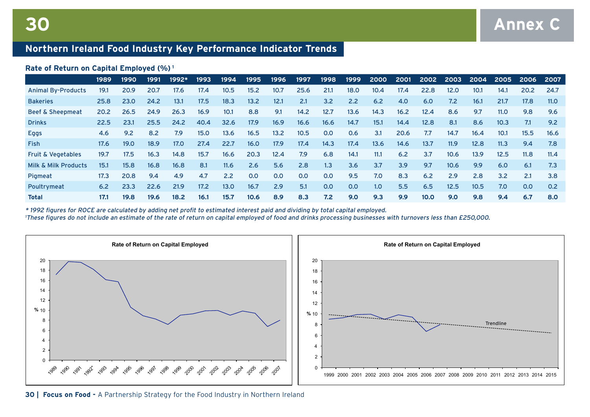### **Northern Ireland Food Industry Key Performance Indicator Trends**

#### **Rate of Return on Capital Employed (%) <sup>1</sup>**

|                                 | 1989 | 1990              | 1991 | 1992* | 1993 | 1994              | 1995 | 1996 | 1997 | 1998 | 1999 | 2000             | 2001 | 2002              | 2003 | 2004              | 2005 | 2006 | 2007 |
|---------------------------------|------|-------------------|------|-------|------|-------------------|------|------|------|------|------|------------------|------|-------------------|------|-------------------|------|------|------|
| <b>Animal By-Products</b>       | 19.1 | 20.9              | 20.7 | 17.6  | 17.4 | 10.5              | 15.2 | 10.7 | 25.6 | 21.1 | 18.0 | 10.4             | 17.4 | 22.8              | 12.0 | 10.1              | 14.1 | 20.2 | 24.7 |
| <b>Bakeries</b>                 | 25.8 | 23.0              | 24.2 | 13.1  | 17.5 | 18.3              | 13.2 | 12.1 | 2.1  | 3.2  | 2.2  | 6.2              | 4.0  | 6.0               | 7.2  | 16.1              | 21.7 | 17.8 | 11.0 |
| <b>Beef &amp; Sheepmeat</b>     | 20.2 | 26.5              | 24.9 | 26.3  | 16.9 | 10.1              | 8.8  | 9.1  | 14.2 | 12.7 | 13.6 | 14.3             | 16.2 | 12.4              | 8.6  | 9.7               | 11.0 | 9.8  | 9.6  |
| <b>Drinks</b>                   | 22.5 | 23.1              | 25.5 | 24.2  | 40.4 | 32.6              | 17.9 | 16.9 | 16.6 | 16.6 | 14.7 | 15.1             | 14.4 | 12.8              | 8.1  | 8.6               | 10.3 | 7.1  | 9.2  |
| <b>Eggs</b>                     | 4.6  | 9.2               | 8.2  | 7.9   | 15.0 | 13.6              | 16.5 | 13.2 | 10.5 | 0.0  | 0.6  | 3.1              | 20.6 | 7.7               | 14.7 | 16.4              | 10.1 | 15.5 | 16.6 |
| <b>Fish</b>                     | 17.6 | 19.0 <sub>1</sub> | 18.9 | 17.0  | 27.4 | 22.7              | 16.0 | 17.9 | 17.4 | 14.3 | 17.4 | 13.6             | 14.6 | 13.7              | 11.9 | 12.8              | 11.3 | 9.4  | 7.8  |
| <b>Fruit &amp; Vegetables</b>   | 19.7 | 17.5              | 16.3 | 14.8  | 15.7 | 16.6              | 20.3 | 12.4 | 7.9  | 6.8  | 14.1 | 11.1             | 6.2  | 3.7               | 10.6 | 13.9 <sup>°</sup> | 12.5 | 11.8 | 11.4 |
| <b>Milk &amp; Milk Products</b> | 15.1 | 15.8              | 16.8 | 16.8  | 8.1  | 11.6              | 2.6  | 5.6  | 2.8  | 1.3  | 3.6  | 3.7              | 3.9  | 9.7               | 10.6 | 9.9               | 6.0  | 6.1  | 7.3  |
| Pigmeat                         | 17.3 | 20.8              | 9.4  | 4.9   | 4.7  | 2.2               | 0.0  | 0.0  | 0.0  | 0.0  | 9.5  | 7.0              | 8.3  | 6.2               | 2.9  | 2.8               | 3.2  | 2.1  | 3.8  |
| Poultrymeat                     | 6.2  | 23.3              | 22.6 | 21.9  | 17.2 | 13.0 <sub>2</sub> | 16.7 | 2.9  | 5.1  | 0.0  | 0.0  | 1.0 <sub>1</sub> | 5.5  | 6.5               | 12.5 | 10.5              | 7.0  | 0.0  | 0.2  |
| <b>Total</b>                    | 17.1 | 19.8              | 19.6 | 18.2  | 16.1 | 15.7              | 10.6 | 8.9  | 8.3  | 7.2  | 9.0  | 9.3              | 9.9  | 10.0 <sub>1</sub> | 9.0  | 9.8               | 9.4  | 6.7  | 8.0  |

\* 1992 figures for ROCE are calculated by adding net profit to estimated interest paid and dividing by total capital employed.

1 These figures do not include an estimate of the rate of return on capital employed of food and drinks processing businesses with turnovers less than £250,000.

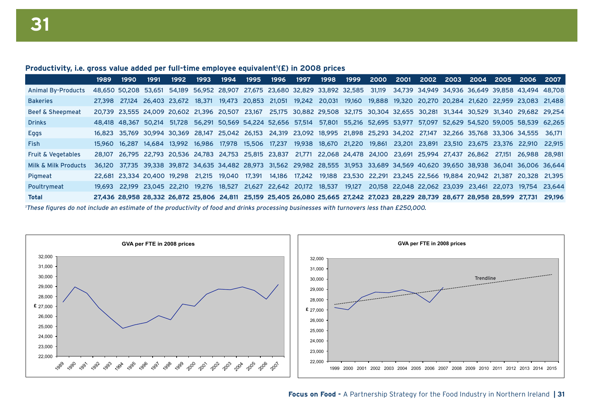#### Productivity, i.e. gross value added per full-time employee equivalent<sup>1</sup>(£) in 2008 prices

|                                                                                                                                         | 1989   | 1990                                   | 1991 | 1992 | 1993                                                                                                                                 | 1994   | 1995   | 1996 | 1997          | 1998 | 1999 | <b>2000</b> | 2001 | 2002                                                                                | 2003 | <b>2004</b> | 2005 | -2006                                                                                             | 2007          |
|-----------------------------------------------------------------------------------------------------------------------------------------|--------|----------------------------------------|------|------|--------------------------------------------------------------------------------------------------------------------------------------|--------|--------|------|---------------|------|------|-------------|------|-------------------------------------------------------------------------------------|------|-------------|------|---------------------------------------------------------------------------------------------------|---------------|
| <b>Animal By-Products</b>                                                                                                               |        |                                        |      |      | 48,650 50,208 53,651 54,189 56,952 28,907 27,675 23,680 32,829 33,892 32,585 31,119 34,739 34,949 34,936 36,649 39,858 43,494 48,708 |        |        |      |               |      |      |             |      |                                                                                     |      |             |      |                                                                                                   |               |
| <b>Bakeries</b>                                                                                                                         |        | 27.398 27.124 26.403 23.672 18.371     |      |      |                                                                                                                                      |        |        |      |               |      |      |             |      |                                                                                     |      |             |      | 19,473 20,853 21,051 19,242 20,031 19,160 19,888 19,320 20,270 20,284 21,620 22,959 23,083 21,488 |               |
| <b>Beef &amp; Sheepmeat</b>                                                                                                             |        |                                        |      |      | 20.739 23.555 24.009 20.602 21.396 20.507 23.167                                                                                     |        |        |      |               |      |      |             |      |                                                                                     |      |             |      | 25.175 30.882 29.508 32.175 30.304 32.655 30.281 31.344 30.529 31.340 29.682 29.254               |               |
| <b>Drinks</b>                                                                                                                           |        |                                        |      |      | 48.418 48.367 50.214 51.728 56.291 50.569 54.224 52.656 57.514 57.801 55.216 52.695 53.977 57.097 52.629 54.520 59.005 58.539 62.265 |        |        |      |               |      |      |             |      |                                                                                     |      |             |      |                                                                                                   |               |
| Eggs                                                                                                                                    |        |                                        |      |      | 16.823 35.769 30.994 30.369 28.147 25.042 26.153 24.319 23.092 18.995 21.898 25.293 34.202 27.147 32.266 35.768 33.306 34.555        |        |        |      |               |      |      |             |      |                                                                                     |      |             |      |                                                                                                   | - 36.171      |
| <b>Fish</b>                                                                                                                             |        | 15.960  16.287  14.684  13.992  16.986 |      |      |                                                                                                                                      |        |        |      |               |      |      |             |      |                                                                                     |      |             |      | 17.978 15.506 17.237 19.938 18.670 21.220 19.861 23.201 23.891 23.510 23.675 23.376 22.910 22.915 |               |
| <b>Fruit &amp; Vegetables</b>                                                                                                           | 28.107 |                                        |      |      | 26.795 22.793 20.536 24.783 24.753 25.815 23.837 21.771 22.068 24.478 24.100 23.691 25.994 27.437 26.862 27.151                      |        |        |      |               |      |      |             |      |                                                                                     |      |             |      | 26.988 28.981                                                                                     |               |
| Milk & Milk Products                                                                                                                    | 36.120 |                                        |      |      | 37.735 39.338 39.872 34.635 34.482 28.973 31.562 29.982 28.555 31.953 33.689 34.569 40.620 39.650 38.938 36.041 36.006 36.644        |        |        |      |               |      |      |             |      |                                                                                     |      |             |      |                                                                                                   |               |
| Pigmeat                                                                                                                                 |        | 22.681 23.334 20.400 19.298            |      |      | 21.215                                                                                                                               | 19.040 | 17,391 |      | 14.186 17.242 |      |      |             |      | 19.188 23.530 22.291 23.245 22.566 19.884 20.942 21.387                             |      |             |      | 20.328 21.395                                                                                     |               |
| Poultrymeat                                                                                                                             |        | 19.693 22.199 23.045 22.210 19.276     |      |      |                                                                                                                                      |        |        |      |               |      |      |             |      | 18,527 21,627 22,642 20,172 18,537 19,127 20,158 22,048 22,062 23,039 23,461 22,073 |      |             |      |                                                                                                   | 19.754 23.644 |
| <b>Total</b>                                                                                                                            |        |                                        |      |      | 27,436 28,958 28,332 26,872 25,806 24,811 25,159 25,405 26,080 25,665 27,242 27,023 28,229 28,739 28,677 28,958 28,599 27,731        |        |        |      |               |      |      |             |      |                                                                                     |      |             |      |                                                                                                   | 29,196        |
| These figures de not include an estimate of the productivity of food and drinks presension businesses with turnewers less than 5250,000 |        |                                        |      |      |                                                                                                                                      |        |        |      |               |      |      |             |      |                                                                                     |      |             |      |                                                                                                   |               |

These figures do not include an estimate of the productivity of food and drinks processing businesses with turnovers less than £250,000.

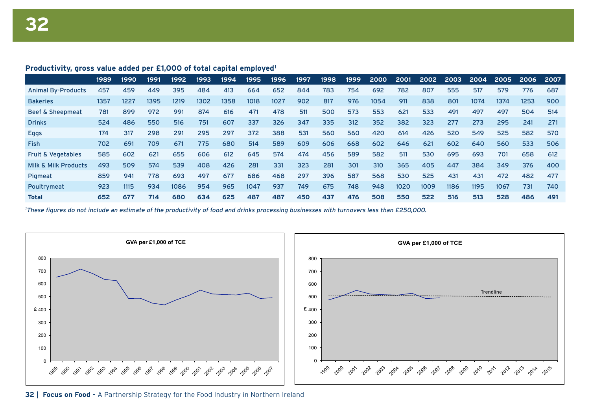#### **Productivity, gross value added per £1,000 of total capital employed1**

|                                 | 1989 | 1990 | 1991 | 1992 | 1993 | 1994 | 1995 | 1996 | 1997 | 1998 | 1999 | 2000 | 2001 | 2002 | 2003 | 2004 | 2005 | 2006 | 2007 |
|---------------------------------|------|------|------|------|------|------|------|------|------|------|------|------|------|------|------|------|------|------|------|
| <b>Animal By-Products</b>       | 457  | 459  | 449  | 395  | 484  | 413  | 664  | 652  | 844  | 783  | 754  | 692  | 782  | 807  | 555  | 517  | 579  | 776  | 687  |
| <b>Bakeries</b>                 | 1357 | 1227 | 1395 | 1219 | 1302 | 1358 | 1018 | 1027 | 902  | 817  | 976  | 1054 | 911  | 838  | 801  | 1074 | 1374 | 1253 | 900  |
| <b>Beef &amp; Sheepmeat</b>     | 781  | 899  | 972  | 991  | 874  | 616  | 471  | 478  | 511  | 500  | 573  | 553  | 621  | 533  | 491  | 497  | 497  | 504  | 514  |
| <b>Drinks</b>                   | 524  | 486  | 550  | 516  | 751  | 607  | 337  | 326  | 347  | 335  | 312  | 352  | 382  | 323  | 277  | 273  | 295  | 241  | 271  |
| <b>Eggs</b>                     | 174  | 317  | 298  | 291  | 295  | 297  | 372  | 388  | 531  | 560  | 560  | 420  | 614  | 426  | 520  | 549  | 525  | 582  | 570  |
| <b>Fish</b>                     | 702  | 691  | 709  | 671  | 775  | 680  | 514  | 589  | 609  | 606  | 668  | 602  | 646  | 621  | 602  | 640  | 560  | 533  | 506  |
| <b>Fruit &amp; Vegetables</b>   | 585  | 602  | 621  | 655  | 606  | 612  | 645  | 574  | 474  | 456  | 589  | 582  | 511  | 530  | 695  | 693  | 701  | 658  | 612  |
| <b>Milk &amp; Milk Products</b> | 493  | 509  | 574  | 539  | 408  | 426  | 281  | 331  | 323  | 281  | 301  | 310  | 365  | 405  | 447  | 384  | 349  | 376  | 400  |
| Pigmeat                         | 859  | 941  | 778  | 693  | 497  | 677  | 686  | 468  | 297  | 396  | 587  | 568  | 530  | 525  | 431  | 431  | 472  | 482  | 477  |
| Poultrymeat                     | 923  | 1115 | 934  | 1086 | 954  | 965  | 1047 | 937  | 749  | 675  | 748  | 948  | 1020 | 1009 | 1186 | 1195 | 1067 | 731  | 740  |
| <b>Total</b>                    | 652  | 677  | 714  | 680  | 634  | 625  | 487  | 487  | 450  | 437  | 476  | 508  | 550  | 522  | 516  | 513  | 528  | 486  | 491  |

1 These figures do not include an estimate of the productivity of food and drinks processing businesses with turnovers less than £250,000.



**32 | Focus on Food -** A Partnership Strategy for the Food Industry in Northern Ireland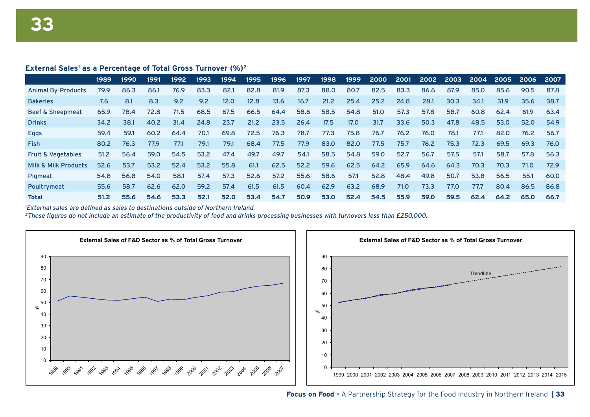#### **External Sales<sup>1</sup> as a Percentage of Total Gross Turnover (%)<sup>2</sup>**

|                               | 1989 | 1990 | 1991 | 1992 | 1993 | 1994 | 1995 | 1996 | 1997 | 1998 | 1999 | 2000 | 2001 | 2002 | 2003 | 2004 | 2005 | 2006 | 2007 |
|-------------------------------|------|------|------|------|------|------|------|------|------|------|------|------|------|------|------|------|------|------|------|
| <b>Animal By-Products</b>     | 79.9 | 86.3 | 86.1 | 76.9 | 83.3 | 82.1 | 82.8 | 81.9 | 87.3 | 88.0 | 80.7 | 82.5 | 83.3 | 86.6 | 87.9 | 85.0 | 85.6 | 90.5 | 87.8 |
| <b>Bakeries</b>               | 7.6  | 8.1  | 8.3  | 9.2  | 9.2  | 12.0 | 12.8 | 13.6 | 16.7 | 21.2 | 25.4 | 25.2 | 24.8 | 28.1 | 30.3 | 34.1 | 31.9 | 35.6 | 38.7 |
| <b>Beef &amp; Sheepmeat</b>   | 65.9 | 78.4 | 72.8 | 71.5 | 68.5 | 67.5 | 66.5 | 64.4 | 58.6 | 58.5 | 54.8 | 51.0 | 57.3 | 57.8 | 58.7 | 60.8 | 62.4 | 61.9 | 63.4 |
| <b>Drinks</b>                 | 34.2 | 38.1 | 40.2 | 31.4 | 24.8 | 23.7 | 21.2 | 23.5 | 26.4 | 17.5 | 17.0 | 31.7 | 33.6 | 50.3 | 47.8 | 48.5 | 53.0 | 52.0 | 54.9 |
| <b>Eggs</b>                   | 59.4 | 59.1 | 60.2 | 64.4 | 70.1 | 69.8 | 72.5 | 76.3 | 78.7 | 77.3 | 75.8 | 76.7 | 76.2 | 76.0 | 78.1 | 77.1 | 82.0 | 76.2 | 56.7 |
| <b>Fish</b>                   | 80.2 | 76.3 | 77.9 | 77.1 | 79.1 | 79.1 | 68.4 | 77.5 | 77.9 | 83.0 | 82.0 | 77.5 | 75.7 | 76.2 | 75.3 | 72.3 | 69.5 | 69.3 | 76.0 |
| <b>Fruit &amp; Vegetables</b> | 51.2 | 56.4 | 59.0 | 54.5 | 53.2 | 47.4 | 49.7 | 49.7 | 54.1 | 58.5 | 54.8 | 59.0 | 52.7 | 56.7 | 57.5 | 57.1 | 58.7 | 57.8 | 56.3 |
| Milk & Milk Products          | 52.6 | 53.7 | 53.2 | 52.4 | 53.2 | 55.8 | 61.1 | 62.5 | 52.2 | 59.6 | 62.5 | 64.2 | 65.9 | 64.6 | 64.3 | 70.3 | 70.3 | 71.0 | 72.9 |
| Pigmeat                       | 54.8 | 56.8 | 54.0 | 58.1 | 57.4 | 57.3 | 52.6 | 57.2 | 55.6 | 58.6 | 57.1 | 52.8 | 48.4 | 49.8 | 50.7 | 53.8 | 56.5 | 55.1 | 60.0 |
| Poultrymeat                   | 55.6 | 58.7 | 62.6 | 62.0 | 59.2 | 57.4 | 61.5 | 61.5 | 60.4 | 62.9 | 63.2 | 68.9 | 71.0 | 73.3 | 77.0 | 77.7 | 80.4 | 86.5 | 86.8 |
| <b>Total</b>                  | 51.2 | 55.6 | 54.6 | 53.3 | 52.1 | 52.0 | 53.4 | 54.7 | 50.9 | 53.0 | 52.4 | 54.5 | 55.9 | 59.0 | 59.5 | 62.4 | 64.2 | 65.0 | 66.7 |

1 External sales are defined as sales to destinations outside of Northern Ireland.

<sup>2</sup>These figures do not include an estimate of the productivity of food and drinks processing businesses with turnovers less than £250,000.



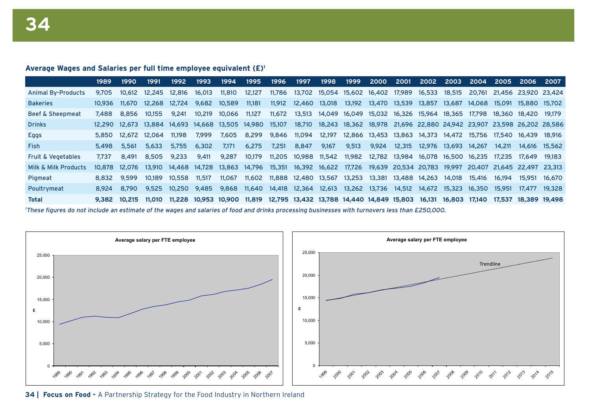#### **Average Wages and Salaries per full time employee equivalent (£)1**

|                                                                                                                                                | 1989   | 1990         | 1991   | 1992                                             | 1993   | 1994                        | 1995   | 1996          | 1997                                      | 1998          | 1999          | <b>2000</b>                 | 2001   | 2002                                                           | 2003 | 2004                        | 2005   | <b>2006</b>                                                                         | -2007         |
|------------------------------------------------------------------------------------------------------------------------------------------------|--------|--------------|--------|--------------------------------------------------|--------|-----------------------------|--------|---------------|-------------------------------------------|---------------|---------------|-----------------------------|--------|----------------------------------------------------------------|------|-----------------------------|--------|-------------------------------------------------------------------------------------|---------------|
| <b>Animal By-Products</b>                                                                                                                      | 9.705  | 10.612       |        | 12.245 12.816                                    | 16.013 | 11,810                      | 12,127 | 11,786        | 13,702                                    |               |               | 15,054 15,602 16,402 17,989 |        | 16,533 18,515                                                  |      |                             |        | 20.761 21.456 23.920 23.424                                                         |               |
| <b>Bakeries</b>                                                                                                                                | 10.936 | 11.670       | 12.268 | 12.724                                           | 9.682  | 10,589                      | 11,181 |               | 11,912  12,460  13,018                    |               |               | 13,192  13,470  13,539      |        | 13,857 13,687 14,068 15,091                                    |      |                             |        | 15,880 15,702                                                                       |               |
| <b>Beef &amp; Sheepmeat</b>                                                                                                                    | 7.488  | 8.856        | 10.155 | 9.241                                            | 10.219 | 10.066                      | 11.127 |               | 11,672 13,513                             |               |               |                             |        |                                                                |      |                             |        | 14,049 16,049 15,032 16,326 15,964 18,365 17,798 18,360 18,420 19,179               |               |
| <b>Drinks</b>                                                                                                                                  |        |              |        | 12,290 12,673 13,884 14,693 14,668 13,505 14,980 |        |                             |        | 15,107        |                                           |               |               |                             |        |                                                                |      |                             |        | 18,710 18,243 18,362 18,978 21,696 22,880 24,942 23,907 23,598 26,202 28,586        |               |
| Eggs                                                                                                                                           |        | 5.850 12.672 | 12.064 | 11.198                                           | 7.999  | 7,605                       | 8,299  | 9,846 11,094  |                                           |               |               |                             |        | 12,197  12,866  13,453  13,863  14,373  14,472  15,756  17,540 |      |                             |        | 16.439 18.916                                                                       |               |
| <b>Fish</b>                                                                                                                                    | 5.498  | 5.561        | 5.633  | 5.755                                            | 6,302  | 7,171                       | 6,275  | 7,251         | 8,847                                     | 9,167         | 9,513         | 9,924                       | 12,315 | 12,976 13,693 14,267                                           |      |                             | 14.211 |                                                                                     | 14,616 15,562 |
| <b>Fruit &amp; Vegetables</b>                                                                                                                  | 7.737  | 8.491        | 8.505  | 9.233                                            | 9,411  | 9.287                       | 10,179 | 11,205        | 10,988                                    |               | 11,542 11,982 |                             |        | 12,782 13,984 16,078 16,500 16,235 17,235 17,649               |      |                             |        |                                                                                     | 19.183        |
| Milk & Milk Products                                                                                                                           | 10.878 | 12.076       |        | 13,910  14,468  14,728                           |        | 13,863 14,796               |        |               |                                           |               |               |                             |        |                                                                |      |                             |        | 15,351 16,392 16,622 17,726 19,639 20,534 20,783 19,997 20,407 21,645 22,497 23,313 |               |
| Pigmeat                                                                                                                                        | 8.832  | 9.599        | 10.189 | 10,558                                           | 11,517 | 11.067                      | 11,602 |               | 11,888 12,480                             | 13,567 13,253 |               |                             |        | 13,381 13,488 14,263 14,018                                    |      | 15,416                      | 16.194 | 15,951                                                                              | 16.670        |
| Poultrymeat                                                                                                                                    | 8.924  | 8.790        | 9.525  | 10.250                                           | 9.485  | 9,868                       | 11.640 | 14,418 12,364 |                                           |               | 12,613 13,262 |                             |        | 13,736  14,512  14,672  15,323  16,350  15,951                 |      |                             |        | 17.477                                                                              | 19.328        |
| <b>Total</b>                                                                                                                                   |        | 9.382 10.215 | 11.010 |                                                  |        | 11,228 10,953 10,900 11,819 |        |               | 12,795 13,432 13,788 14,440 14,849 15,803 |               |               |                             |        |                                                                |      | 16,131 16,803 17,140 17,537 |        | 18,389 19,498                                                                       |               |
| These figures do not include an estimate of the wages and salaries of food and drinks processing businesses with turnovers less than £250,000. |        |              |        |                                                  |        |                             |        |               |                                           |               |               |                             |        |                                                                |      |                             |        |                                                                                     |               |



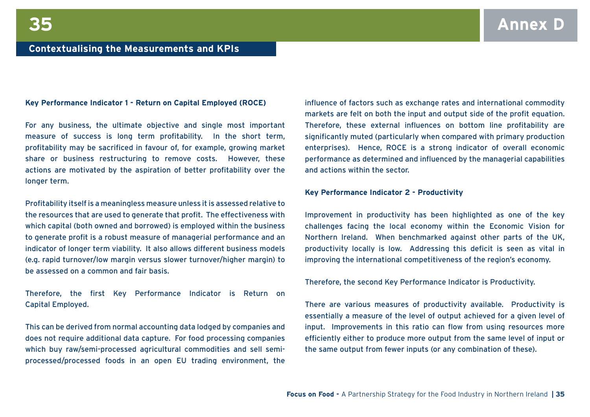#### **Key Performance Indicator 1 - Return on Capital Employed (ROCE)**

For any business, the ultimate objective and single most important measure of success is long term profitability. In the short term, profitability may be sacrificed in favour of, for example, growing market share or business restructuring to remove costs. However, these actions are motivated by the aspiration of better profitability over the longer term.

Profitability itself is a meaningless measure unless it is assessed relative to the resources that are used to generate that profit. The effectiveness with which capital (both owned and borrowed) is employed within the business to generate profit is a robust measure of managerial performance and an indicator of longer term viability. It also allows different business models (e.g. rapid turnover/low margin versus slower turnover/higher margin) to be assessed on a common and fair basis.

Therefore, the first Key Performance Indicator is Return on Capital Employed.

This can be derived from normal accounting data lodged by companies and does not require additional data capture. For food processing companies which buy raw/semi-processed agricultural commodities and sell semiprocessed/processed foods in an open EU trading environment, the

influence of factors such as exchange rates and international commodity markets are felt on both the input and output side of the profit equation. Therefore, these external influences on bottom line profitability are significantly muted (particularly when compared with primary production enterprises). Hence, ROCE is a strong indicator of overall economic performance as determined and influenced by the managerial capabilities and actions within the sector.

#### **Key Performance Indicator 2 - Productivity**

Improvement in productivity has been highlighted as one of the key challenges facing the local economy within the Economic Vision for Northern Ireland. When benchmarked against other parts of the UK, productivity locally is low. Addressing this deficit is seen as vital in improving the international competitiveness of the region's economy.

Therefore, the second Key Performance Indicator is Productivity.

There are various measures of productivity available. Productivity is essentially a measure of the level of output achieved for a given level of input. Improvements in this ratio can flow from using resources more efficiently either to produce more output from the same level of input or the same output from fewer inputs (or any combination of these).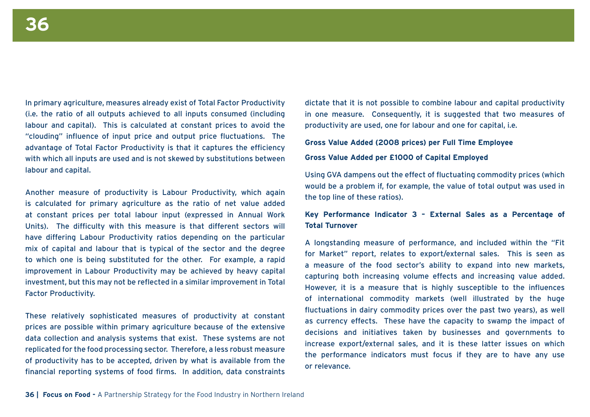In primary agriculture, measures already exist of Total Factor Productivity (i.e. the ratio of all outputs achieved to all inputs consumed (including labour and capital). This is calculated at constant prices to avoid the "clouding" influence of input price and output price fluctuations. The advantage of Total Factor Productivity is that it captures the efficiency with which all inputs are used and is not skewed by substitutions between labour and capital.

Another measure of productivity is Labour Productivity, which again is calculated for primary agriculture as the ratio of net value added at constant prices per total labour input (expressed in Annual Work Units). The difficulty with this measure is that different sectors will have differing Labour Productivity ratios depending on the particular mix of capital and labour that is typical of the sector and the degree to which one is being substituted for the other. For example, a rapid improvement in Labour Productivity may be achieved by heavy capital investment, but this may not be reflected in a similar improvement in Total Factor Productivity.

These relatively sophisticated measures of productivity at constant prices are possible within primary agriculture because of the extensive data collection and analysis systems that exist. These systems are not replicated for the food processing sector. Therefore, a less robust measure of productivity has to be accepted, driven by what is available from the financial reporting systems of food firms. In addition, data constraints

dictate that it is not possible to combine labour and capital productivity in one measure. Consequently, it is suggested that two measures of productivity are used, one for labour and one for capital, i.e.

#### **Gross Value Added (2008 prices) per Full Time Employee**

#### **Gross Value Added per £1000 of Capital Employed**

Using GVA dampens out the effect of fluctuating commodity prices (which would be a problem if, for example, the value of total output was used in the top line of these ratios).

#### **Key Performance Indicator 3 – External Sales as a Percentage of Total Turnover**

A longstanding measure of performance, and included within the "Fit for Market" report, relates to export/external sales. This is seen as a measure of the food sector's ability to expand into new markets, capturing both increasing volume effects and increasing value added. However, it is a measure that is highly susceptible to the influences of international commodity markets (well illustrated by the huge fluctuations in dairy commodity prices over the past two years), as well as currency effects. These have the capacity to swamp the impact of decisions and initiatives taken by businesses and governments to increase export/external sales, and it is these latter issues on which the performance indicators must focus if they are to have any use or relevance.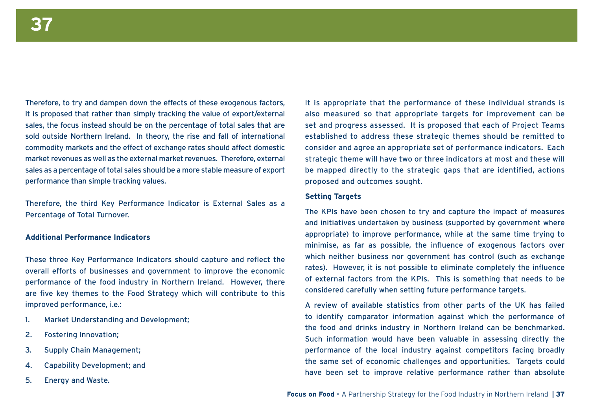Therefore, to try and dampen down the effects of these exogenous factors, it is proposed that rather than simply tracking the value of export/external sales, the focus instead should be on the percentage of total sales that are sold outside Northern Ireland. In theory, the rise and fall of international commodity markets and the effect of exchange rates should affect domestic market revenues as well as the external market revenues. Therefore, external sales as a percentage of total sales should be a more stable measure of export performance than simple tracking values.

Therefore, the third Key Performance Indicator is External Sales as a Percentage of Total Turnover.

#### **Additional Performance Indicators**

These three Key Performance Indicators should capture and reflect the overall efforts of businesses and government to improve the economic performance of the food industry in Northern Ireland. However, there are five key themes to the Food Strategy which will contribute to this improved performance, i.e.:

- 1. Market Understanding and Development;
- 2. Fostering Innovation;
- 3. Supply Chain Management;
- 4. Capability Development; and
- 5. Energy and Waste.

It is appropriate that the performance of these individual strands is also measured so that appropriate targets for improvement can be set and progress assessed. It is proposed that each of Project Teams established to address these strategic themes should be remitted to consider and agree an appropriate set of performance indicators. Each strategic theme will have two or three indicators at most and these will be mapped directly to the strategic gaps that are identified, actions proposed and outcomes sought.

#### **Setting Targets**

The KPIs have been chosen to try and capture the impact of measures and initiatives undertaken by business (supported by government where appropriate) to improve performance, while at the same time trying to minimise, as far as possible, the influence of exogenous factors over which neither business nor government has control (such as exchange rates). However, it is not possible to eliminate completely the influence of external factors from the KPIs. This is something that needs to be considered carefully when setting future performance targets.

A review of available statistics from other parts of the UK has failed to identify comparator information against which the performance of the food and drinks industry in Northern Ireland can be benchmarked. Such information would have been valuable in assessing directly the performance of the local industry against competitors facing broadly the same set of economic challenges and opportunities. Targets could have been set to improve relative performance rather than absolute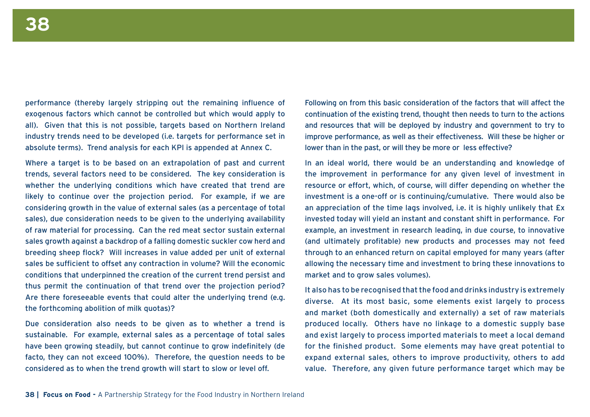performance (thereby largely stripping out the remaining influence of exogenous factors which cannot be controlled but which would apply to all). Given that this is not possible, targets based on Northern Ireland industry trends need to be developed (i.e. targets for performance set in absolute terms). Trend analysis for each KPI is appended at Annex C.

Where a target is to be based on an extrapolation of past and current trends, several factors need to be considered. The key consideration is whether the underlying conditions which have created that trend are likely to continue over the projection period. For example, if we are considering growth in the value of external sales (as a percentage of total sales), due consideration needs to be given to the underlying availability of raw material for processing. Can the red meat sector sustain external sales growth against a backdrop of a falling domestic suckler cow herd and breeding sheep flock? Will increases in value added per unit of external sales be sufficient to offset any contraction in volume? Will the economic conditions that underpinned the creation of the current trend persist and thus permit the continuation of that trend over the projection period? Are there foreseeable events that could alter the underlying trend (e.g. the forthcoming abolition of milk quotas)?

Due consideration also needs to be given as to whether a trend is sustainable. For example, external sales as a percentage of total sales have been growing steadily, but cannot continue to grow indefinitely (de facto, they can not exceed 100%). Therefore, the question needs to be considered as to when the trend growth will start to slow or level off.

Following on from this basic consideration of the factors that will affect the continuation of the existing trend, thought then needs to turn to the actions and resources that will be deployed by industry and government to try to improve performance, as well as their effectiveness. Will these be higher or lower than in the past, or will they be more or less effective?

In an ideal world, there would be an understanding and knowledge of the improvement in performance for any given level of investment in resource or effort, which, of course, will differ depending on whether the investment is a one-off or is continuing/cumulative. There would also be an appreciation of the time lags involved, i.e. it is highly unlikely that £x invested today will yield an instant and constant shift in performance. For example, an investment in research leading, in due course, to innovative (and ultimately profitable) new products and processes may not feed through to an enhanced return on capital employed for many years (after allowing the necessary time and investment to bring these innovations to market and to grow sales volumes).

It also has to be recognised that the food and drinks industry is extremely diverse. At its most basic, some elements exist largely to process and market (both domestically and externally) a set of raw materials produced locally. Others have no linkage to a domestic supply base and exist largely to process imported materials to meet a local demand for the finished product. Some elements may have great potential to expand external sales, others to improve productivity, others to add value. Therefore, any given future performance target which may be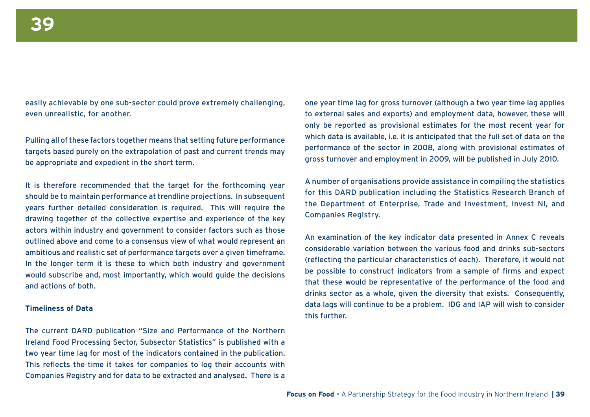easily achievable by one sub-sector could prove extremely challenging, even unrealistic, for another.

Pulling all of these factors together means that setting future performance targets based purely on the extrapolation of past and current trends may be appropriate and expedient in the short term.

It is therefore recommended that the target for the forthcoming year should be to maintain performance at trendline projections. In subsequent years further detailed consideration is required. This will require the drawing together of the collective expertise and experience of the key actors within industry and government to consider factors such as those outlined above and come to a consensus view of what would represent an ambitious and realistic set of performance targets over a given timeframe. In the longer term it is these to which both industry and government would subscribe and, most importantly, which would guide the decisions and actions of both.

#### **Timeliness of Data**

The current DARD publication "Size and Performance of the Northern Ireland Food Processing Sector, Subsector Statistics" is published with a two year time lag for most of the indicators contained in the publication. This reflects the time it takes for companies to log their accounts with Companies Registry and for data to be extracted and analysed. There is a

one year time lag for gross turnover (although a two year time lag applies to external sales and exports) and employment data, however, these will only be reported as provisional estimates for the most recent year for which data is available, i.e. it is anticipated that the full set of data on the performance of the sector in 2008, along with provisional estimates of gross turnover and employment in 2009, will be published in July 2010.

A number of organisations provide assistance in compiling the statistics for this DARD publication including the Statistics Research Branch of the Department of Enterprise, Trade and Investment, Invest NI, and Companies Registry.

An examination of the key indicator data presented in Annex C reveals considerable variation between the various food and drinks sub-sectors (reflecting the particular characteristics of each). Therefore, it would not be possible to construct indicators from a sample of firms and expect that these would be representative of the performance of the food and drinks sector as a whole, given the diversity that exists. Consequently, data lags will continue to be a problem. IDG and IAP will wish to consider this further.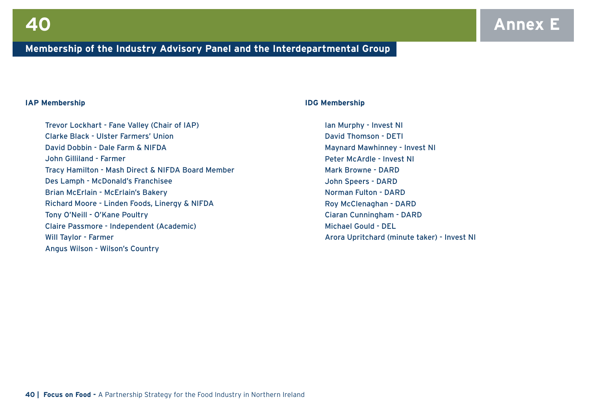#### **Membership of the Industry Advisory Panel and the Interdepartmental Group**

#### **IAP Membership**

Trevor Lockhart - Fane Valley (Chair of IAP) Clarke Black - Ulster Farmers' Union David Dobbin - Dale Farm & NIFDA John Gilliland - Farmer Tracy Hamilton - Mash Direct & NIFDA Board Member Des Lamph - McDonald's Franchisee Brian McErlain - McErlain's Bakery Richard Moore - Linden Foods, Linergy & NIFDA Tony O'Neill - O'Kane Poultry Claire Passmore - Independent (Academic) Will Taylor - Farmer Angus Wilson - Wilson's Country

#### **IDG Membership**

Ian Murphy - Invest NI David Thomson - DETI Maynard Mawhinney - Invest NI Peter McArdle - Invest NI Mark Browne - DARD John Speers - DARD Norman Fulton - DARD Roy McClenaghan - DARD Ciaran Cunningham - DARD Michael Gould - DEL Arora Upritchard (minute taker) - Invest NI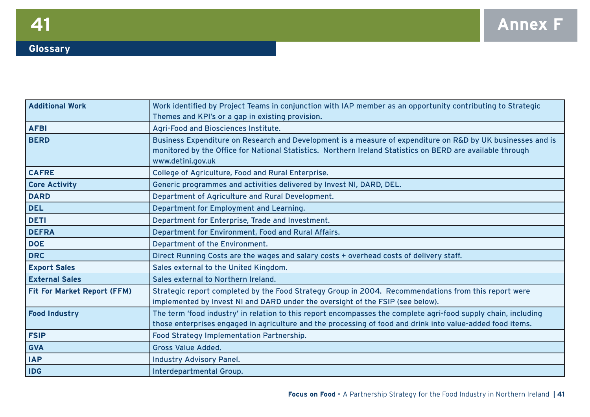## **Glossary**

| <b>Additional Work</b>             | Work identified by Project Teams in conjunction with IAP member as an opportunity contributing to Strategic<br>Themes and KPI's or a gap in existing provision.                                                                                |
|------------------------------------|------------------------------------------------------------------------------------------------------------------------------------------------------------------------------------------------------------------------------------------------|
| <b>AFBI</b>                        | Agri-Food and Biosciences Institute.                                                                                                                                                                                                           |
| <b>BERD</b>                        | Business Expenditure on Research and Development is a measure of expenditure on R&D by UK businesses and is<br>monitored by the Office for National Statistics. Northern Ireland Statistics on BERD are available through<br>www.detini.gov.uk |
| <b>CAFRE</b>                       | College of Agriculture, Food and Rural Enterprise.                                                                                                                                                                                             |
| <b>Core Activity</b>               | Generic programmes and activities delivered by Invest NI, DARD, DEL.                                                                                                                                                                           |
| <b>DARD</b>                        | Department of Agriculture and Rural Development.                                                                                                                                                                                               |
| <b>DEL</b>                         | Department for Employment and Learning.                                                                                                                                                                                                        |
| <b>DETI</b>                        | Department for Enterprise, Trade and Investment.                                                                                                                                                                                               |
| <b>DEFRA</b>                       | Department for Environment, Food and Rural Affairs.                                                                                                                                                                                            |
| <b>DOE</b>                         | Department of the Environment.                                                                                                                                                                                                                 |
| <b>DRC</b>                         | Direct Running Costs are the wages and salary costs + overhead costs of delivery staff.                                                                                                                                                        |
| <b>Export Sales</b>                | Sales external to the United Kingdom.                                                                                                                                                                                                          |
| <b>External Sales</b>              | Sales external to Northern Ireland.                                                                                                                                                                                                            |
| <b>Fit For Market Report (FFM)</b> | Strategic report completed by the Food Strategy Group in 2004. Recommendations from this report were<br>implemented by Invest NI and DARD under the oversight of the FSIP (see below).                                                         |
| <b>Food Industry</b>               | The term 'food industry' in relation to this report encompasses the complete agri-food supply chain, including<br>those enterprises engaged in agriculture and the processing of food and drink into value-added food items.                   |
| <b>FSIP</b>                        | Food Strategy Implementation Partnership.                                                                                                                                                                                                      |
| <b>GVA</b>                         | <b>Gross Value Added.</b>                                                                                                                                                                                                                      |
| <b>IAP</b>                         | Industry Advisory Panel.                                                                                                                                                                                                                       |
| <b>IDG</b>                         | Interdepartmental Group.                                                                                                                                                                                                                       |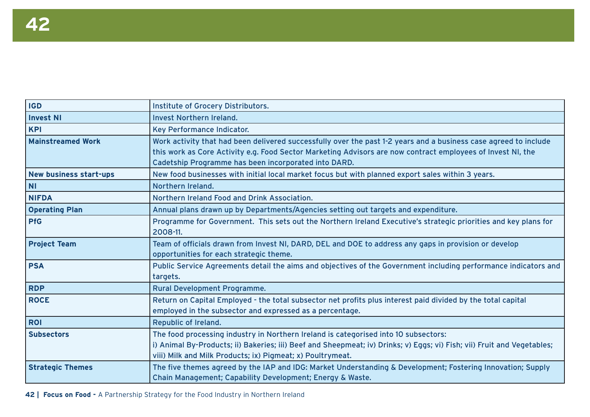| <b>IGD</b>               | Institute of Grocery Distributors.                                                                                                                                                                                                                                                      |
|--------------------------|-----------------------------------------------------------------------------------------------------------------------------------------------------------------------------------------------------------------------------------------------------------------------------------------|
| <b>Invest NI</b>         | <b>Invest Northern Ireland.</b>                                                                                                                                                                                                                                                         |
| <b>KPI</b>               | Key Performance Indicator.                                                                                                                                                                                                                                                              |
| <b>Mainstreamed Work</b> | Work activity that had been delivered successfully over the past 1-2 years and a business case agreed to include<br>this work as Core Activity e.g. Food Sector Marketing Advisors are now contract employees of Invest NI, the<br>Cadetship Programme has been incorporated into DARD. |
| New business start-ups   | New food businesses with initial local market focus but with planned export sales within 3 years.                                                                                                                                                                                       |
| <b>NI</b>                | Northern Ireland.                                                                                                                                                                                                                                                                       |
| <b>NIFDA</b>             | Northern Ireland Food and Drink Association.                                                                                                                                                                                                                                            |
| <b>Operating Plan</b>    | Annual plans drawn up by Departments/Agencies setting out targets and expenditure.                                                                                                                                                                                                      |
| <b>PfG</b>               | Programme for Government. This sets out the Northern Ireland Executive's strategic priorities and key plans for<br>2008-11.                                                                                                                                                             |
| <b>Project Team</b>      | Team of officials drawn from Invest NI, DARD, DEL and DOE to address any gaps in provision or develop<br>opportunities for each strategic theme.                                                                                                                                        |
| <b>PSA</b>               | Public Service Agreements detail the aims and objectives of the Government including performance indicators and<br>targets.                                                                                                                                                             |
| <b>RDP</b>               | <b>Rural Development Programme.</b>                                                                                                                                                                                                                                                     |
| <b>ROCE</b>              | Return on Capital Employed - the total subsector net profits plus interest paid divided by the total capital<br>employed in the subsector and expressed as a percentage.                                                                                                                |
| <b>ROI</b>               | Republic of Ireland.                                                                                                                                                                                                                                                                    |
| <b>Subsectors</b>        | The food processing industry in Northern Ireland is categorised into 10 subsectors:<br>i) Animal By-Products; ii) Bakeries; iii) Beef and Sheepmeat; iv) Drinks; v) Eggs; vi) Fish; vii) Fruit and Vegetables;<br>viii) Milk and Milk Products; ix) Pigmeat; x) Poultrymeat.            |
| <b>Strategic Themes</b>  | The five themes agreed by the IAP and IDG: Market Understanding & Development; Fostering Innovation; Supply<br>Chain Management; Capability Development; Energy & Waste.                                                                                                                |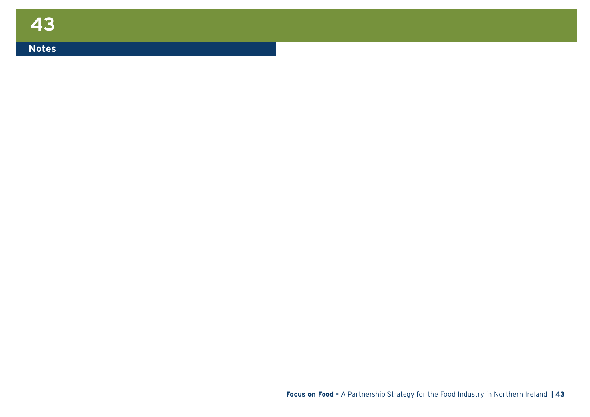### **Notes**